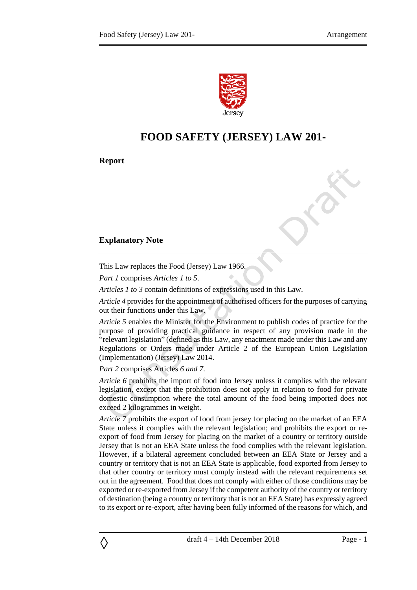

## **FOOD SAFETY (JERSEY) LAW 201-**

**Report**

## **Explanatory Note**

This Law replaces the Food (Jersey) Law 1966.

*Part 1* comprises *Articles 1 to 5*.

*Articles 1 to 3* contain definitions of expressions used in this Law.

*Article 4* provides for the appointment of authorised officers for the purposes of carrying out their functions under this Law.

*Article 5* enables the Minister for the Environment to publish codes of practice for the purpose of providing practical guidance in respect of any provision made in the "relevant legislation" (defined as this Law, any enactment made under this Law and any Regulations or Orders made under Article 2 of the European Union Legislation (Implementation) (Jersey) Law 2014.

*Part 2* comprises Articles *6 and 7*.

◊

*Article 6* prohibits the import of food into Jersey unless it complies with the relevant legislation, except that the prohibition does not apply in relation to food for private domestic consumption where the total amount of the food being imported does not exceed 2 kilogrammes in weight.

*Article 7* prohibits the export of food from jersey for placing on the market of an EEA State unless it complies with the relevant legislation; and prohibits the export or reexport of food from Jersey for placing on the market of a country or territory outside Jersey that is not an EEA State unless the food complies with the relevant legislation. However, if a bilateral agreement concluded between an EEA State or Jersey and a country or territory that is not an EEA State is applicable, food exported from Jersey to that other country or territory must comply instead with the relevant requirements set out in the agreement. Food that does not comply with either of those conditions may be exported or re-exported from Jersey if the competent authority of the country or territory of destination (being a country or territory that is not an EEA State) has expressly agreed to its export or re-export, after having been fully informed of the reasons for which, and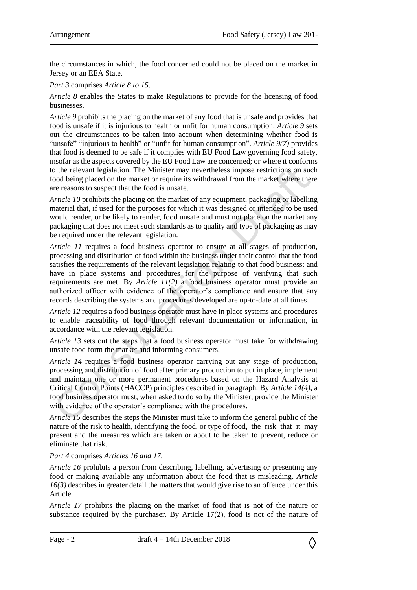the circumstances in which, the food concerned could not be placed on the market in Jersey or an EEA State.

*Part 3* comprises *Article 8 to 15*.

*Article 8* enables the States to make Regulations to provide for the licensing of food businesses.

*Article 9* prohibits the placing on the market of any food that is unsafe and provides that food is unsafe if it is injurious to health or unfit for human consumption. *Article 9* sets out the circumstances to be taken into account when determining whether food is "unsafe" "injurious to health" or "unfit for human consumption". *Article 9(7)* provides that food is deemed to be safe if it complies with EU Food Law governing food safety, insofar as the aspects covered by the EU Food Law are concerned; or where it conforms to the relevant legislation. The Minister may nevertheless impose restrictions on such food being placed on the market or require its withdrawal from the market where there are reasons to suspect that the food is unsafe.

*Article 10* prohibits the placing on the market of any equipment, packaging or labelling material that, if used for the purposes for which it was designed or intended to be used would render, or be likely to render, food unsafe and must not place on the market any packaging that does not meet such standards as to quality and type of packaging as may be required under the relevant legislation.

*Article 11* requires a food business operator to ensure at all stages of production, processing and distribution of food within the business under their control that the food satisfies the requirements of the relevant legislation relating to that food business; and have in place systems and procedures for the purpose of verifying that such requirements are met. By *Article 11(2)* a food business operator must provide an authorized officer with evidence of the operator's compliance and ensure that any records describing the systems and procedures developed are up-to-date at all times.

*Article 12* requires a food business operator must have in place systems and procedures to enable traceability of food through relevant documentation or information, in accordance with the relevant legislation.

*Article 13* sets out the steps that a food business operator must take for withdrawing unsafe food form the market and informing consumers.

*Article 14* requires a food business operator carrying out any stage of production, processing and distribution of food after primary production to put in place, implement and maintain one or more permanent procedures based on the Hazard Analysis at Critical Control Points (HACCP) principles described in paragraph. By *Article 14(4)*, a food business operator must, when asked to do so by the Minister, provide the Minister with evidence of the operator's compliance with the procedures.

*Article 15* describes the steps the Minister must take to inform the general public of the nature of the risk to health, identifying the food, or type of food, the risk that it may present and the measures which are taken or about to be taken to prevent, reduce or eliminate that risk.

## *Part 4* comprises *Articles 16 and 17.*

*Article 16* prohibits a person from describing, labelling, advertising or presenting any food or making available any information about the food that is misleading. *Article 16(3)* describes in greater detail the matters that would give rise to an offence under this Article.

*Article 17* prohibits the placing on the market of food that is not of the nature or substance required by the purchaser. By Article 17(2), food is not of the nature of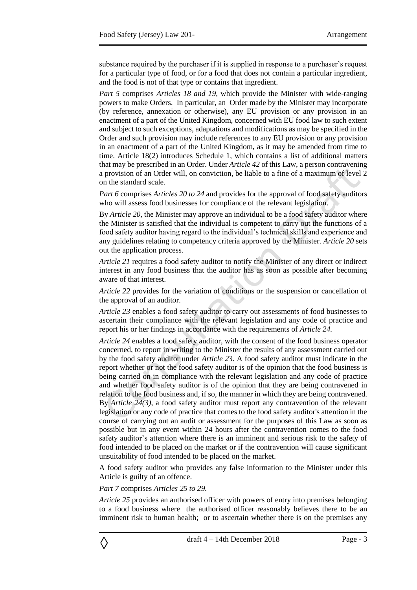substance required by the purchaser if it is supplied in response to a purchaser's request for a particular type of food, or for a food that does not contain a particular ingredient, and the food is not of that type or contains that ingredient.

*Part 5* comprises *Articles 18 and 19*, which provide the Minister with wide-ranging powers to make Orders. In particular, an Order made by the Minister may incorporate (by reference, annexation or otherwise), any EU provision or any provision in an enactment of a part of the United Kingdom, concerned with EU food law to such extent and subject to such exceptions, adaptations and modifications as may be specified in the Order and such provision may include references to any EU provision or any provision in an enactment of a part of the United Kingdom, as it may be amended from time to time. Article 18(2) introduces Schedule 1, which contains a list of additional matters that may be prescribed in an Order. Under *Article 42* of this Law, a person contravening a provision of an Order will, on conviction, be liable to a fine of a maximum of level 2 on the standard scale.

*Part 6* comprises *Articles 20 to 24* and provides for the approval of food safety auditors who will assess food businesses for compliance of the relevant legislation.

By *Article 20,* the Minister may approve an individual to be a food safety auditor where the Minister is satisfied that the individual is competent to carry out the functions of a food safety auditor having regard to the individual's technical skills and experience and any guidelines relating to competency criteria approved by the Minister. *Article 20* sets out the application process.

*Article 21* requires a food safety auditor to notify the Minister of any direct or indirect interest in any food business that the auditor has as soon as possible after becoming aware of that interest.

*Article 22* provides for the variation of conditions or the suspension or cancellation of the approval of an auditor.

*Article 23* enables a food safety auditor to carry out assessments of food businesses to ascertain their compliance with the relevant legislation and any code of practice and report his or her findings in accordance with the requirements of *Article 24.* 

*Article 24* enables a food safety auditor, with the consent of the food business operator concerned, to report in writing to the Minister the results of any assessment carried out by the food safety auditor under *Article 23*. A food safety auditor must indicate in the report whether or not the food safety auditor is of the opinion that the food business is being carried on in compliance with the relevant legislation and any code of practice and whether food safety auditor is of the opinion that they are being contravened in relation to the food business and, if so, the manner in which they are being contravened. By *Article 24(3)*, a food safety auditor must report any contravention of the relevant legislation or any code of practice that comes to the food safety auditor's attention in the course of carrying out an audit or assessment for the purposes of this Law as soon as possible but in any event within 24 hours after the contravention comes to the food safety auditor's attention where there is an imminent and serious risk to the safety of food intended to be placed on the market or if the contravention will cause significant unsuitability of food intended to be placed on the market.

A food safety auditor who provides any false information to the Minister under this Article is guilty of an offence.

#### *Part 7* comprises *Articles 25 to 29.*

*Article 25* provides an authorised officer with powers of entry into premises belonging to a food business where the authorised officer reasonably believes there to be an imminent risk to human health; or to ascertain whether there is on the premises any

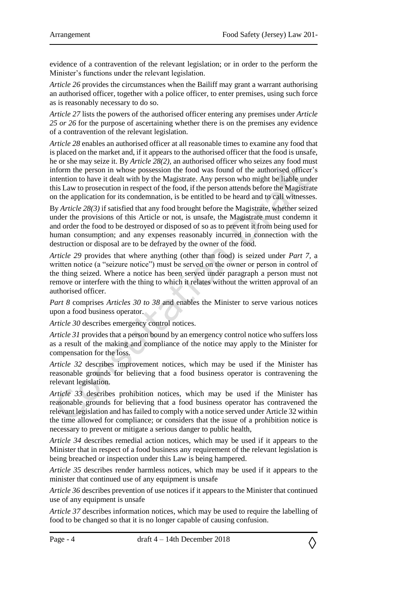evidence of a contravention of the relevant legislation; or in order to the perform the Minister's functions under the relevant legislation.

*Article 26* provides the circumstances when the Bailiff may grant a warrant authorising an authorised officer, together with a police officer, to enter premises, using such force as is reasonably necessary to do so.

*Article 27* lists the powers of the authorised officer entering any premises under *Article 25 or 26* for the purpose of ascertaining whether there is on the premises any evidence of a contravention of the relevant legislation.

*Article 28* enables an authorised officer at all reasonable times to examine any food that is placed on the market and, if it appears to the authorised officer that the food is unsafe, he or she may seize it. By *Article 28(2),* an authorised officer who seizes any food must inform the person in whose possession the food was found of the authorised officer's intention to have it dealt with by the Magistrate. Any person who might be liable under this Law to prosecution in respect of the food, if the person attends before the Magistrate on the application for its condemnation, is be entitled to be heard and to call witnesses.

By *Article 28(3)* if satisfied that any food brought before the Magistrate, whether seized under the provisions of this Article or not, is unsafe, the Magistrate must condemn it and order the food to be destroyed or disposed of so as to prevent it from being used for human consumption; and any expenses reasonably incurred in connection with the destruction or disposal are to be defrayed by the owner of the food.

*Article 29* provides that where anything (other than food) is seized under *Part 7,* a written notice (a "seizure notice") must be served on the owner or person in control of the thing seized. Where a notice has been served under paragraph a person must not remove or interfere with the thing to which it relates without the written approval of an authorised officer.

*Part 8* comprises *Articles 30 to 38* and enables the Minister to serve various notices upon a food business operator.

*Article 30* describes emergency control notices.

*Article 31* provides that a person bound by an emergency control notice who suffers loss as a result of the making and compliance of the notice may apply to the Minister for compensation for the loss.

*Article 32* describes improvement notices, which may be used if the Minister has reasonable grounds for believing that a food business operator is contravening the relevant legislation.

*Article 33* describes prohibition notices, which may be used if the Minister has reasonable grounds for believing that a food business operator has contravened the relevant legislation and has failed to comply with a notice served under Article 32 within the time allowed for compliance; or considers that the issue of a prohibition notice is necessary to prevent or mitigate a serious danger to public health,

*Article 34* describes remedial action notices, which may be used if it appears to the Minister that in respect of a food business any requirement of the relevant legislation is being breached or inspection under this Law is being hampered.

*Article 35* describes render harmless notices, which may be used if it appears to the minister that continued use of any equipment is unsafe

*Article 36* describes prevention of use notices if it appears to the Minister that continued use of any equipment is unsafe

*Article 37* describes information notices, which may be used to require the labelling of food to be changed so that it is no longer capable of causing confusion.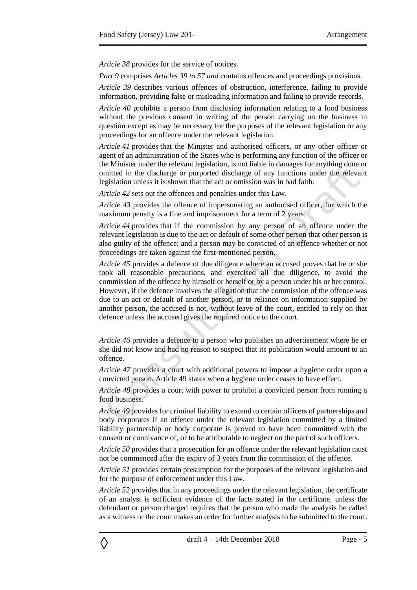*Article 38* provides for the service of notices.

*Part 9* comprises *Articles 39 to 57 and* contains offences and proceedings provisions.

*Article 39* describes various offences of obstruction, interference, failing to provide information, providing false or misleading information and failing to provide records.

*Article 40* prohibits a person from disclosing information relating to a food business without the previous consent in writing of the person carrying on the business in question except as may be necessary for the purposes of the relevant legislation or any proceedings for an offence under the relevant legislation.

*Article 41* provides that the Minister and authorised officers, or any other officer or agent of an administration of the States who is performing any function of the officer or the Minister under the relevant legislation, is not liable in damages for anything done or omitted in the discharge or purported discharge of any functions under the relevant legislation unless it is shown that the act or omission was in bad faith.

*Article 42* sets out the offences and penalties under this Law.

*Article 43* provides the offence of impersonating an authorised officer, for which the maximum penalty is a fine and imprisonment for a term of 2 years.

*Article 44* provides that if the commission by any person of an offence under the relevant legislation is due to the act or default of some other person that other person is also guilty of the offence; and a person may be convicted of an offence whether or not proceedings are taken against the first-mentioned person.

*Article 45* provides a defence of due diligence where an accused proves that he or she took all reasonable precautions, and exercised all due diligence, to avoid the commission of the offence by himself or herself or by a person under his or her control. However, if the defence involves the allegation that the commission of the offence was due to an act or default of another person, or to reliance on information supplied by another person, the accused is not, without leave of the court, entitled to rely on that defence unless the accused gives the required notice to the court.

*Article 46* provides a defence to a person who publishes an advertisement where he or she did not know and had no reason to suspect that its publication would amount to an offence.

*Article 47* provides a court with additional powers to impose a hygiene order upon a convicted person. Article 49 states when a hygiene order ceases to have effect.

*Article 48* provides a court with power to prohibit a convicted person from running a food business.

*Article 49* provides for criminal liability to extend to certain officers of partnerships and body corporates if an offence under the relevant legislation committed by a limited liability partnership or body corporate is proved to have been committed with the consent or connivance of, or to be attributable to neglect on the part of such officers.

*Article 50* provides that a prosecution for an offence under the relevant legislation must not be commenced after the expiry of 3 years from the commission of the offence.

*Article 51* provides certain presumption for the purposes of the relevant legislation and for the purpose of enforcement under this Law.

*Article 52* provides that in any proceedings under the relevant legislation, the certificate of an analyst is sufficient evidence of the facts stated in the certificate, unless the defendant or person charged requires that the person who made the analysis be called as a witness or the court makes an order for further analysis to be submitted to the court.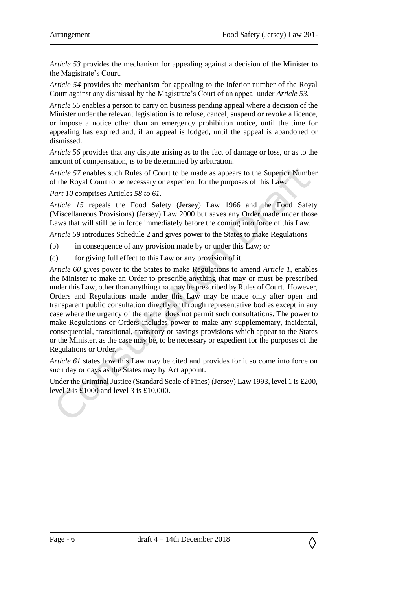*Article 53* provides the mechanism for appealing against a decision of the Minister to the Magistrate's Court.

*Article 54* provides the mechanism for appealing to the inferior number of the Royal Court against any dismissal by the Magistrate's Court of an appeal under *Article 53.*

*Article 55* enables a person to carry on business pending appeal where a decision of the Minister under the relevant legislation is to refuse, cancel, suspend or revoke a licence, or impose a notice other than an emergency prohibition notice, until the time for appealing has expired and, if an appeal is lodged, until the appeal is abandoned or dismissed.

*Article 56* provides that any dispute arising as to the fact of damage or loss, or as to the amount of compensation, is to be determined by arbitration.

*Article 57* enables such Rules of Court to be made as appears to the Superior Number of the Royal Court to be necessary or expedient for the purposes of this Law.

*Part 10* comprises Articles *58 to 61*.

*Article 15* repeals the Food Safety (Jersey) Law 1966 and the Food Safety (Miscellaneous Provisions) (Jersey) Law 2000 but saves any Order made under those Laws that will still be in force immediately before the coming into force of this Law.

*Article 59* introduces Schedule 2 and gives power to the States to make Regulations

(b) in consequence of any provision made by or under this Law; or

(c) for giving full effect to this Law or any provision of it.

*Article 60* gives power to the States to make Regulations to amend *Article 1*, enables the Minister to make an Order to prescribe anything that may or must be prescribed under this Law, other than anything that may be prescribed by Rules of Court. However, Orders and Regulations made under this Law may be made only after open and transparent public consultation directly or through representative bodies except in any case where the urgency of the matter does not permit such consultations. The power to make Regulations or Orders includes power to make any supplementary, incidental, consequential, transitional, transitory or savings provisions which appear to the States or the Minister, as the case may be, to be necessary or expedient for the purposes of the Regulations or Order.

*Article 61* states how this Law may be cited and provides for it so come into force on such day or days as the States may by Act appoint.

Under the Criminal Justice (Standard Scale of Fines) (Jersey) Law 1993, level 1 is £200, level 2 is £1000 and level 3 is £10,000.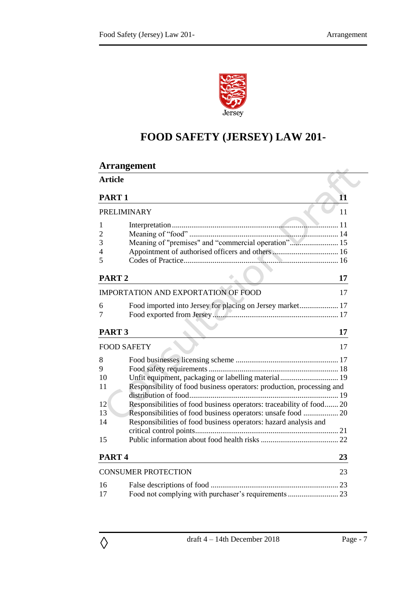

# **FOOD SAFETY (JERSEY) LAW 201-**

| <b>Article</b><br>PART <sub>1</sub>                                         |    |  |  |
|-----------------------------------------------------------------------------|----|--|--|
|                                                                             |    |  |  |
|                                                                             | 11 |  |  |
| PRELIMINARY                                                                 |    |  |  |
| 1                                                                           |    |  |  |
| $\overline{2}$                                                              |    |  |  |
| Meaning of "premises" and "commercial operation" 15<br>3                    |    |  |  |
| 4                                                                           |    |  |  |
| 5                                                                           |    |  |  |
| PART <sub>2</sub>                                                           | 17 |  |  |
| <b>IMPORTATION AND EXPORTATION OF FOOD</b>                                  | 17 |  |  |
| Food imported into Jersey for placing on Jersey market 17<br>6              |    |  |  |
| 7                                                                           |    |  |  |
|                                                                             |    |  |  |
| PART <sub>3</sub>                                                           | 17 |  |  |
| <b>FOOD SAFETY</b>                                                          | 17 |  |  |
| 8                                                                           |    |  |  |
| 9                                                                           |    |  |  |
| Unfit equipment, packaging or labelling material 19<br>10                   |    |  |  |
| Responsibility of food business operators: production, processing and<br>11 |    |  |  |
|                                                                             |    |  |  |
| Responsibilities of food business operators: traceability of food 20<br>12  |    |  |  |
| Responsibilities of food business operators: unsafe food  20<br>13          |    |  |  |
| Responsibilities of food business operators: hazard analysis and<br>14      |    |  |  |
|                                                                             |    |  |  |
| 15                                                                          |    |  |  |
| PART <sub>4</sub>                                                           |    |  |  |
| <b>CONSUMER PROTECTION</b>                                                  |    |  |  |
|                                                                             |    |  |  |
| 16                                                                          |    |  |  |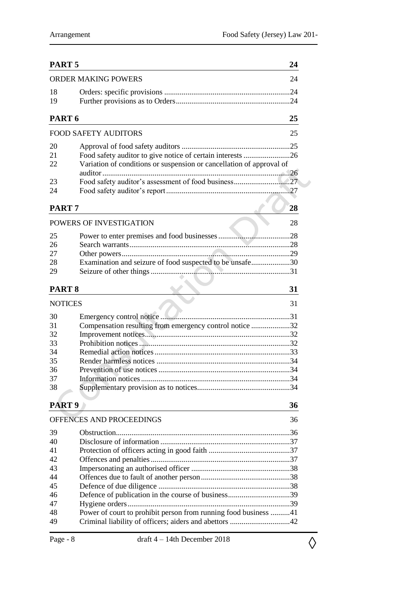| PART <sub>5</sub>          |                                                                                                                                    | 24 |
|----------------------------|------------------------------------------------------------------------------------------------------------------------------------|----|
| <b>ORDER MAKING POWERS</b> |                                                                                                                                    |    |
| 18<br>19                   |                                                                                                                                    |    |
| PART <sub>6</sub>          |                                                                                                                                    | 25 |
|                            | <b>FOOD SAFETY AUDITORS</b>                                                                                                        | 25 |
| 20<br>21<br>22             | Food safety auditor to give notice of certain interests 26<br>Variation of conditions or suspension or cancellation of approval of |    |
| 23<br>24                   |                                                                                                                                    |    |
| PART <sub>7</sub>          |                                                                                                                                    | 28 |
| POWERS OF INVESTIGATION    |                                                                                                                                    |    |
| 25<br>26<br>27<br>28<br>29 | Examination and seizure of food suspected to be unsafe30                                                                           |    |
| PART <sub>8</sub>          |                                                                                                                                    | 31 |
| <b>NOTICES</b>             |                                                                                                                                    | 31 |
| 30<br>31<br>32             | Compensation resulting from emergency control notice 32                                                                            |    |
| 33<br>34<br>35             |                                                                                                                                    |    |
| 36<br>37<br>38             |                                                                                                                                    |    |
| PART <sub>9</sub>          |                                                                                                                                    | 36 |
|                            | OFFENCES AND PROCEEDINGS                                                                                                           | 36 |
| 39<br>40                   |                                                                                                                                    |    |
| 41<br>42                   |                                                                                                                                    |    |
| 43<br>44<br>45             |                                                                                                                                    |    |
| 46<br>47                   | Defence of publication in the course of business39                                                                                 |    |
| 48<br>49                   | Power of court to prohibit person from running food business 41                                                                    |    |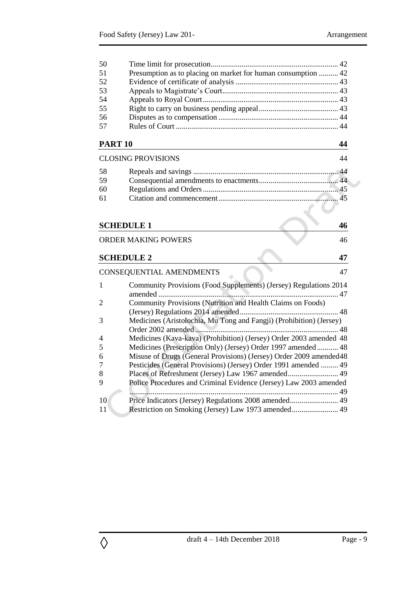| 50             |                                                                     |    |
|----------------|---------------------------------------------------------------------|----|
| 51             | Presumption as to placing on market for human consumption  42       |    |
| 52             |                                                                     |    |
| 53             |                                                                     |    |
| 54             |                                                                     |    |
| 55             |                                                                     |    |
| 56             |                                                                     |    |
| 57             |                                                                     |    |
| <b>PART 10</b> |                                                                     | 44 |
|                | <b>CLOSING PROVISIONS</b>                                           | 44 |
| 58             |                                                                     |    |
| 59             |                                                                     |    |
| 60             |                                                                     |    |
| 61             |                                                                     |    |
|                |                                                                     |    |
|                | <b>SCHEDULE 1</b>                                                   | 46 |
|                |                                                                     |    |
|                | <b>ORDER MAKING POWERS</b>                                          | 46 |
|                | <b>SCHEDULE 2</b>                                                   | 47 |
|                | CONSEQUENTIAL AMENDMENTS                                            | 47 |
| 1              | Community Provisions (Food Supplements) (Jersey) Regulations 2014   |    |
|                |                                                                     |    |
| 2              | Community Provisions (Nutrition and Health Claims on Foods)         |    |
| 3              | Medicines (Aristolochia, Mu Tong and Fangji) (Prohibition) (Jersey) |    |
| 4              | Medicines (Kava-kava) (Prohibition) (Jersey) Order 2003 amended 48  |    |
| 5              | Medicines (Prescription Only) (Jersey) Order 1997 amended  48       |    |
| 6              | Misuse of Drugs (General Provisions) (Jersey) Order 2009 amended 48 |    |
| 7              | Pesticides (General Provisions) (Jersey) Order 1991 amended  49     |    |
| 8              | Places of Refreshment (Jersey) Law 1967 amended 49                  |    |
| 9              | Police Procedures and Criminal Evidence (Jersey) Law 2003 amended   |    |
|                |                                                                     |    |
| 10             | Price Indicators (Jersey) Regulations 2008 amended 49               |    |
| 11             |                                                                     |    |
|                |                                                                     |    |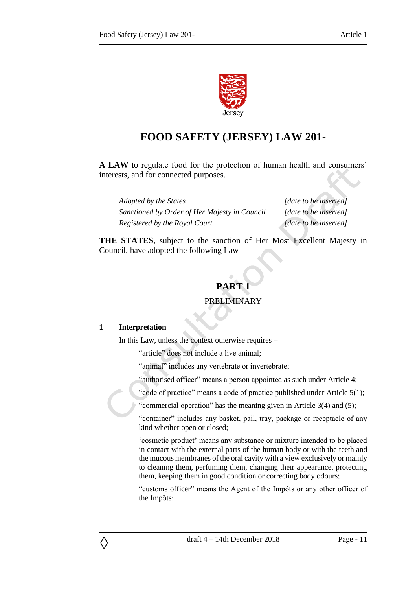

## **FOOD SAFETY (JERSEY) LAW 201-**

**A LAW** to regulate food for the protection of human health and consumers' interests, and for connected purposes.

*Adopted by the States [date to be inserted] Sanctioned by Order of Her Majesty in Council [date to be inserted] Registered by the Royal Court [date to be inserted]*

<span id="page-10-0"></span>**THE STATES**, subject to the sanction of Her Most Excellent Majesty in Council, have adopted the following Law –

## **PART 1**

## PRELIMINARY

#### <span id="page-10-2"></span><span id="page-10-1"></span>**1 Interpretation**

◊

In this Law, unless the context otherwise requires –

"article" does not include a live animal;

"animal" includes any vertebrate or invertebrate;

"authorised officer" means a person appointed as such under Article 4;

"code of practice" means a code of practice published under Article 5(1);

"commercial operation" has the meaning given in Article 3(4) and (5);

"container" includes any basket, pail, tray, package or receptacle of any kind whether open or closed;

'cosmetic product' means any substance or mixture intended to be placed in contact with the external parts of the human body or with the teeth and the mucous membranes of the oral cavity with a view exclusively or mainly to cleaning them, perfuming them, changing their appearance, protecting them, keeping them in good condition or correcting body odours;

"customs officer" means the Agent of the Impôts or any other officer of the Impôts;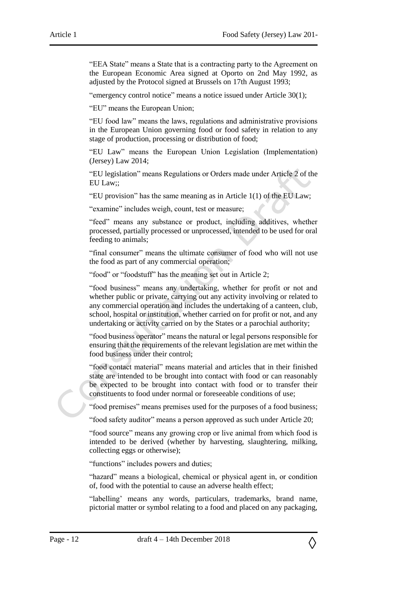"EEA State" means a State that is a contracting party to the Agreement on the European Economic Area signed at Oporto on 2nd May 1992, as adjusted by the Protocol signed at Brussels on 17th August 1993;

"emergency control notice" means a notice issued under Article 30(1);

"EU" means the European Union;

"EU food law" means the laws, regulations and administrative provisions in the European Union governing food or food safety in relation to any stage of production, processing or distribution of food;

"EU Law" means the European Union Legislation (Implementation) (Jersey) Law 2014;

"EU legislation" means Regulations or Orders made under Article 2 of the EU Law;;

"EU provision" has the same meaning as in Article 1(1) of the EU Law;

"examine" includes weigh, count, test or measure;

"feed" means any substance or product, including additives, whether processed, partially processed or unprocessed, intended to be used for oral feeding to animals;

"final consumer" means the ultimate consumer of food who will not use the food as part of any commercial operation;

"food" or "foodstuff" has the meaning set out in Article 2;

"food business" means any undertaking, whether for profit or not and whether public or private, carrying out any activity involving or related to any commercial operation and includes the undertaking of a canteen, club, school, hospital or institution, whether carried on for profit or not, and any undertaking or activity carried on by the States or a parochial authority;

"food business operator" means the natural or legal persons responsible for ensuring that the requirements of the relevant legislation are met within the food business under their control;

"food contact material" means material and articles that in their finished state are intended to be brought into contact with food or can reasonably be expected to be brought into contact with food or to transfer their constituents to food under normal or foreseeable conditions of use;

"food premises" means premises used for the purposes of a food business;

"food safety auditor" means a person approved as such under Article 20;

"food source" means any growing crop or live animal from which food is intended to be derived (whether by harvesting, slaughtering, milking, collecting eggs or otherwise);

"functions" includes powers and duties;

"hazard" means a biological, chemical or physical agent in, or condition of, food with the potential to cause an adverse health effect;

"labelling' means any words, particulars, trademarks, brand name, pictorial matter or symbol relating to a food and placed on any packaging,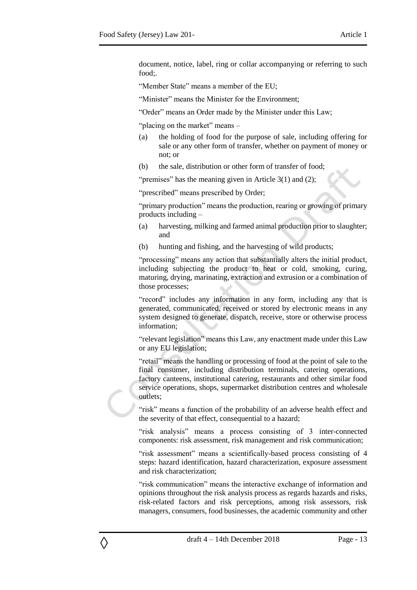document, notice, label, ring or collar accompanying or referring to such food;.

"Member State" means a member of the EU;

"Minister" means the Minister for the Environment;

"Order" means an Order made by the Minister under this Law;

"placing on the market" means –

- (a) the holding of food for the purpose of sale, including offering for sale or any other form of transfer, whether on payment of money or not; or
- (b) the sale, distribution or other form of transfer of food;

"premises" has the meaning given in Article 3(1) and (2);

"prescribed" means prescribed by Order;

"primary production" means the production, rearing or growing of primary products including –

- (a) harvesting, milking and farmed animal production prior to slaughter; and
- (b) hunting and fishing, and the harvesting of wild products;

"processing" means any action that substantially alters the initial product, including subjecting the product to heat or cold, smoking, curing, maturing, drying, marinating, extraction and extrusion or a combination of those processes;

"record" includes any information in any form, including any that is generated, communicated, received or stored by electronic means in any system designed to generate, dispatch, receive, store or otherwise process information;

"relevant legislation" means this Law, any enactment made under this Law or any EU legislation;

"retail" means the handling or processing of food at the point of sale to the final consumer, including distribution terminals, catering operations, factory canteens, institutional catering, restaurants and other similar food service operations, shops, supermarket distribution centres and wholesale outlets;

"risk" means a function of the probability of an adverse health effect and the severity of that effect, consequential to a hazard;

"risk analysis" means a process consisting of 3 inter-connected components: risk assessment, risk management and risk communication;

"risk assessment" means a scientifically-based process consisting of 4 steps: hazard identification, hazard characterization, exposure assessment and risk characterization;

"risk communication" means the interactive exchange of information and opinions throughout the risk analysis process as regards hazards and risks, risk-related factors and risk perceptions, among risk assessors, risk managers, consumers, food businesses, the academic community and other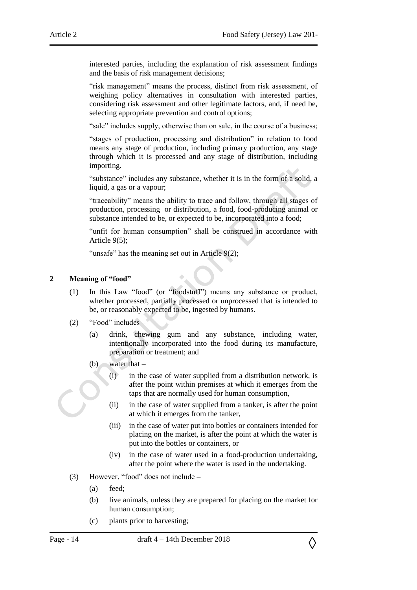interested parties, including the explanation of risk assessment findings and the basis of risk management decisions;

"risk management" means the process, distinct from risk assessment, of weighing policy alternatives in consultation with interested parties, considering risk assessment and other legitimate factors, and, if need be, selecting appropriate prevention and control options;

"sale" includes supply, otherwise than on sale, in the course of a business;

"stages of production, processing and distribution" in relation to food means any stage of production, including primary production, any stage through which it is processed and any stage of distribution, including importing.

"substance" includes any substance, whether it is in the form of a solid, a liquid, a gas or a vapour;

"traceability" means the ability to trace and follow, through all stages of production, processing or distribution, a food, food-producing animal or substance intended to be, or expected to be, incorporated into a food;

"unfit for human consumption" shall be construed in accordance with Article 9(5);

"unsafe" has the meaning set out in Article 9(2);

#### <span id="page-13-0"></span>**2 Meaning of "food"**

- (1) In this Law "food" (or "foodstuff") means any substance or product, whether processed, partially processed or unprocessed that is intended to be, or reasonably expected to be, ingested by humans.
- (2) "Food" includes
	- (a) drink, chewing gum and any substance, including water, intentionally incorporated into the food during its manufacture, preparation or treatment; and
	- (b) water that
		- (i) in the case of water supplied from a distribution network, is after the point within premises at which it emerges from the taps that are normally used for human consumption,
		- (ii) in the case of water supplied from a tanker, is after the point at which it emerges from the tanker,
		- (iii) in the case of water put into bottles or containers intended for placing on the market, is after the point at which the water is put into the bottles or containers, or
		- (iv) in the case of water used in a food-production undertaking, after the point where the water is used in the undertaking.
- (3) However, "food" does not include
	- (a) feed;
	- (b) live animals, unless they are prepared for placing on the market for human consumption;
	- (c) plants prior to harvesting;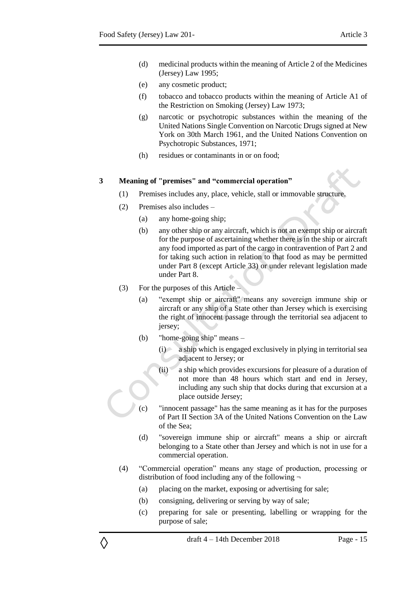- (d) medicinal products within the meaning of Article 2 of the Medicines (Jersey) Law 1995;
- (e) any cosmetic product;
- (f) tobacco and tobacco products within the meaning of Article A1 of the Restriction on Smoking (Jersey) Law 1973;
- (g) narcotic or psychotropic substances within the meaning of the United Nations Single Convention on Narcotic Drugs signed at New York on 30th March 1961, and the United Nations Convention on Psychotropic Substances, 1971;
- (h) residues or contaminants in or on food;

#### <span id="page-14-0"></span>**3 Meaning of "premises" and "commercial operation"**

- (1) Premises includes any, place, vehicle, stall or immovable structure.
- (2) Premises also includes
	- (a) any home-going ship;
	- (b) any other ship or any aircraft, which is not an exempt ship or aircraft for the purpose of ascertaining whether there is in the ship or aircraft any food imported as part of the cargo in contravention of Part 2 and for taking such action in relation to that food as may be permitted under Part 8 (except Article 33) or under relevant legislation made under Part 8.
- (3) For the purposes of this Article –

- (a) "exempt ship or aircraft" means any sovereign immune ship or aircraft or any ship of a State other than Jersey which is exercising the right of innocent passage through the territorial sea adjacent to jersey;
- (b) "home-going ship" means
	- (i) a ship which is engaged exclusively in plying in territorial sea adjacent to Jersey; or
	- (ii) a ship which provides excursions for pleasure of a duration of not more than 48 hours which start and end in Jersey, including any such ship that docks during that excursion at a place outside Jersey;
- (c) "innocent passage" has the same meaning as it has for the purposes of Part II Section 3A of the United Nations Convention on the Law of the Sea;
- (d) "sovereign immune ship or aircraft" means a ship or aircraft belonging to a State other than Jersey and which is not in use for a commercial operation.
- (4) "Commercial operation" means any stage of production, processing or distribution of food including any of the following  $\neg$ 
	- (a) placing on the market, exposing or advertising for sale;
	- (b) consigning, delivering or serving by way of sale;
	- (c) preparing for sale or presenting, labelling or wrapping for the purpose of sale;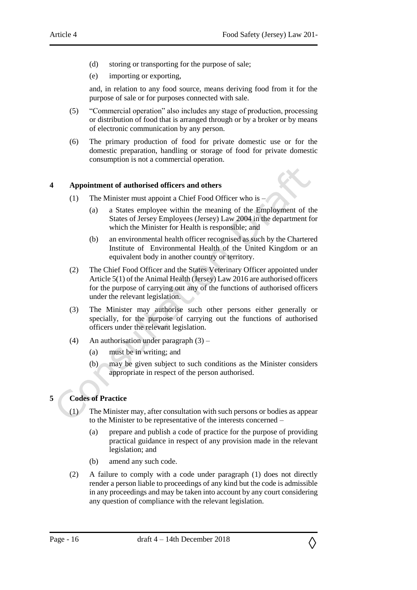- (d) storing or transporting for the purpose of sale;
- (e) importing or exporting,

and, in relation to any food source, means deriving food from it for the purpose of sale or for purposes connected with sale.

- (5) "Commercial operation" also includes any stage of production, processing or distribution of food that is arranged through or by a broker or by means of electronic communication by any person.
- (6) The primary production of food for private domestic use or for the domestic preparation, handling or storage of food for private domestic consumption is not a commercial operation.

#### <span id="page-15-0"></span>**4 Appointment of authorised officers and others**

- (1) The Minister must appoint a Chief Food Officer who is
	- (a) a States employee within the meaning of the Employment of the States of Jersey Employees (Jersey) Law 2004 in the department for which the Minister for Health is responsible; and
	- (b) an environmental health officer recognised as such by the Chartered Institute of Environmental Health of the United Kingdom or an equivalent body in another country or territory.
- (2) The Chief Food Officer and the States Veterinary Officer appointed under Article 5(1) of the Animal Health (Jersey) Law 2016 are authorised officers for the purpose of carrying out any of the functions of authorised officers under the relevant legislation.
- (3) The Minister may authorise such other persons either generally or specially, for the purpose of carrying out the functions of authorised officers under the relevant legislation.
- (4) An authorisation under paragraph (3)
	- (a) must be in writing; and
	- (b) may be given subject to such conditions as the Minister considers appropriate in respect of the person authorised.

## <span id="page-15-1"></span>**5 Codes of Practice**

- The Minister may, after consultation with such persons or bodies as appear to the Minister to be representative of the interests concerned –
	- (a) prepare and publish a code of practice for the purpose of providing practical guidance in respect of any provision made in the relevant legislation; and
	- (b) amend any such code.
- (2) A failure to comply with a code under paragraph (1) does not directly render a person liable to proceedings of any kind but the code is admissible in any proceedings and may be taken into account by any court considering any question of compliance with the relevant legislation.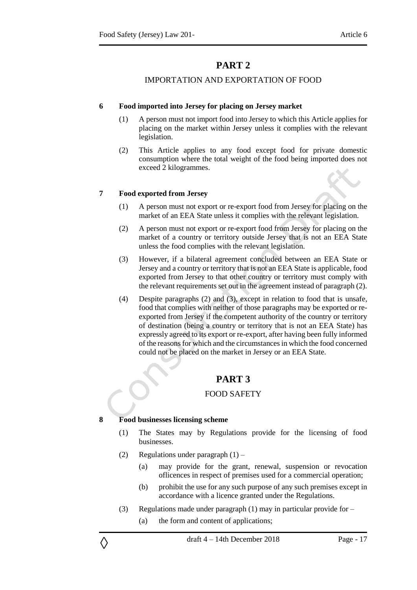## IMPORTATION AND EXPORTATION OF FOOD

#### <span id="page-16-2"></span><span id="page-16-1"></span><span id="page-16-0"></span>**6 Food imported into Jersey for placing on Jersey market**

- (1) A person must not import food into Jersey to which this Article applies for placing on the market within Jersey unless it complies with the relevant legislation.
- (2) This Article applies to any food except food for private domestic consumption where the total weight of the food being imported does not exceed 2 kilogrammes.

#### <span id="page-16-3"></span>**7 Food exported from Jersey**

- (1) A person must not export or re-export food from Jersey for placing on the market of an EEA State unless it complies with the relevant legislation.
- (2) A person must not export or re-export food from Jersey for placing on the market of a country or territory outside Jersey that is not an EEA State unless the food complies with the relevant legislation.
- (3) However, if a bilateral agreement concluded between an EEA State or Jersey and a country or territory that is not an EEA State is applicable, food exported from Jersey to that other country or territory must comply with the relevant requirements set out in the agreement instead of paragraph (2).
- (4) Despite paragraphs (2) and (3), except in relation to food that is unsafe, food that complies with neither of those paragraphs may be exported or reexported from Jersey if the competent authority of the country or territory of destination (being a country or territory that is not an EEA State) has expressly agreed to its export or re-export, after having been fully informed of the reasons for which and the circumstances in which the food concerned could not be placed on the market in Jersey or an EEA State.

## **PART 3**

## FOOD SAFETY

## <span id="page-16-6"></span><span id="page-16-5"></span><span id="page-16-4"></span>**8 Food businesses licensing scheme**

- (1) The States may by Regulations provide for the licensing of food businesses.
- (2) Regulations under paragraph  $(1)$ 
	- (a) may provide for the grant, renewal, suspension or revocation oflicences in respect of premises used for a commercial operation;
	- (b) prohibit the use for any such purpose of any such premises except in accordance with a licence granted under the Regulations.
- (3) Regulations made under paragraph (1) may in particular provide for
	- (a) the form and content of applications;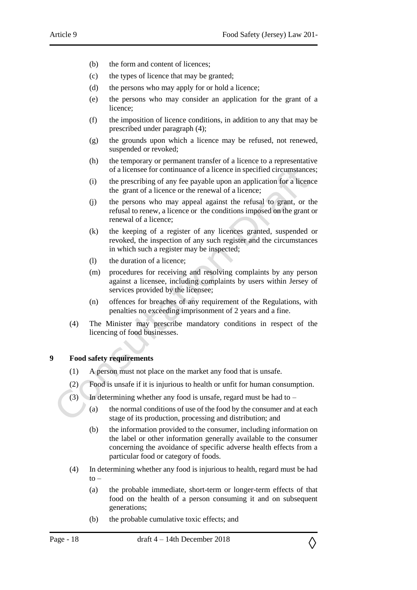- (b) the form and content of licences;
- (c) the types of licence that may be granted;
- (d) the persons who may apply for or hold a licence;
- (e) the persons who may consider an application for the grant of a licence;
- (f) the imposition of licence conditions, in addition to any that may be prescribed under paragraph (4);
- (g) the grounds upon which a licence may be refused, not renewed, suspended or revoked;
- (h) the temporary or permanent transfer of a licence to a representative of a licensee for continuance of a licence in specified circumstances;
- (i) the prescribing of any fee payable upon an application for a licence the grant of a licence or the renewal of a licence;
- (j) the persons who may appeal against the refusal to grant, or the refusal to renew, a licence or the conditions imposed on the grant or renewal of a licence;
- (k) the keeping of a register of any licences granted, suspended or revoked, the inspection of any such register and the circumstances in which such a register may be inspected;
- (l) the duration of a licence;
- (m) procedures for receiving and resolving complaints by any person against a licensee, including complaints by users within Jersey of services provided by the licensee;
- (n) offences for breaches of any requirement of the Regulations, with penalties no exceeding imprisonment of 2 years and a fine.
- (4) The Minister may prescribe mandatory conditions in respect of the licencing of food businesses.

#### <span id="page-17-0"></span>**9 Food safety requirements**

- (1) A person must not place on the market any food that is unsafe.
- (2) Food is unsafe if it is injurious to health or unfit for human consumption.
- (3) In determining whether any food is unsafe, regard must be had to
	- (a) the normal conditions of use of the food by the consumer and at each stage of its production, processing and distribution; and
	- (b) the information provided to the consumer, including information on the label or other information generally available to the consumer concerning the avoidance of specific adverse health effects from a particular food or category of foods.
- (4) In determining whether any food is injurious to health, regard must be had  $to -$ 
	- (a) the probable immediate, short-term or longer-term effects of that food on the health of a person consuming it and on subsequent generations;
	- (b) the probable cumulative toxic effects; and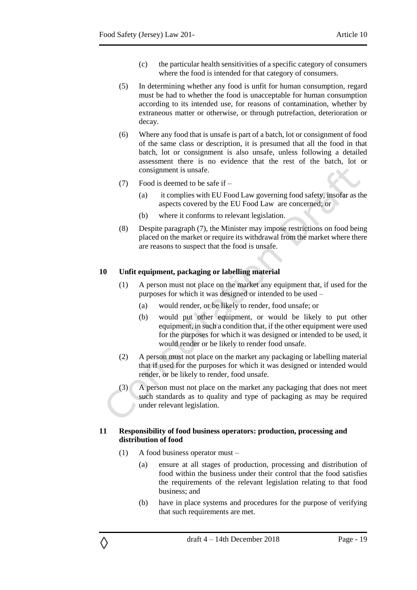- (c) the particular health sensitivities of a specific category of consumers where the food is intended for that category of consumers.
- (5) In determining whether any food is unfit for human consumption, regard must be had to whether the food is unacceptable for human consumption according to its intended use, for reasons of contamination, whether by extraneous matter or otherwise, or through putrefaction, deterioration or decay.
- (6) Where any food that is unsafe is part of a batch, lot or consignment of food of the same class or description, it is presumed that all the food in that batch, lot or consignment is also unsafe, unless following a detailed assessment there is no evidence that the rest of the batch, lot or consignment is unsafe.
- (7) Food is deemed to be safe if
	- (a) it complies with EU Food Law governing food safety, insofar as the aspects covered by the EU Food Law are concerned; or
	- (b) where it conforms to relevant legislation.
- (8) Despite paragraph (7), the Minister may impose restrictions on food being placed on the market or require its withdrawal from the market where there are reasons to suspect that the food is unsafe.

#### <span id="page-18-0"></span>**10 Unfit equipment, packaging or labelling material**

- (1) A person must not place on the market any equipment that, if used for the purposes for which it was designed or intended to be used –
	- (a) would render, or be likely to render, food unsafe; or
	- (b) would put other equipment, or would be likely to put other equipment, in such a condition that, if the other equipment were used for the purposes for which it was designed or intended to be used, it would render or be likely to render food unsafe.
- (2) A person must not place on the market any packaging or labelling material that if used for the purposes for which it was designed or intended would render, or be likely to render, food unsafe.
- (3) A person must not place on the market any packaging that does not meet such standards as to quality and type of packaging as may be required under relevant legislation.

#### <span id="page-18-1"></span>**11 Responsibility of food business operators: production, processing and distribution of food**

(1) A food business operator must –

- (a) ensure at all stages of production, processing and distribution of food within the business under their control that the food satisfies the requirements of the relevant legislation relating to that food business; and
- (b) have in place systems and procedures for the purpose of verifying that such requirements are met.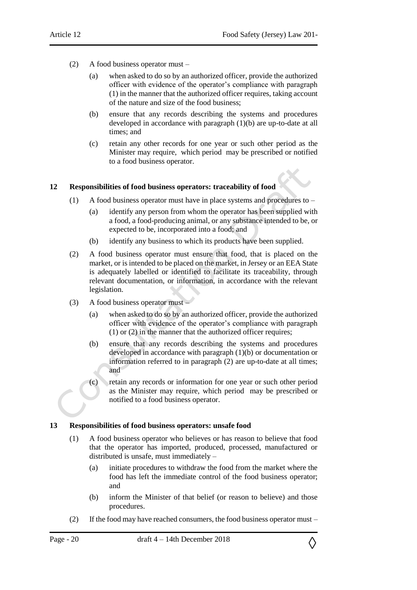- (2) A food business operator must
	- (a) when asked to do so by an authorized officer, provide the authorized officer with evidence of the operator's compliance with paragraph (1) in the manner that the authorized officer requires, taking account of the nature and size of the food business;
	- (b) ensure that any records describing the systems and procedures developed in accordance with paragraph (1)(b) are up-to-date at all times; and
	- (c) retain any other records for one year or such other period as the Minister may require, which period may be prescribed or notified to a food business operator.

## <span id="page-19-0"></span>**12 Responsibilities of food business operators: traceability of food**

- (1) A food business operator must have in place systems and procedures to
	- (a) identify any person from whom the operator has been supplied with a food, a food-producing animal, or any substance intended to be, or expected to be, incorporated into a food; and
	- (b) identify any business to which its products have been supplied.
- (2) A food business operator must ensure that food, that is placed on the market, or is intended to be placed on the market, in Jersey or an EEA State is adequately labelled or identified to facilitate its traceability, through relevant documentation, or information, in accordance with the relevant legislation.
- (3) A food business operator must
	- (a) when asked to do so by an authorized officer, provide the authorized officer with evidence of the operator's compliance with paragraph (1) or (2) in the manner that the authorized officer requires;
	- (b) ensure that any records describing the systems and procedures developed in accordance with paragraph (1)(b) or documentation or information referred to in paragraph (2) are up-to-date at all times; and
	- (c) retain any records or information for one year or such other period as the Minister may require, which period may be prescribed or notified to a food business operator.

## <span id="page-19-1"></span>**13 Responsibilities of food business operators: unsafe food**

- (1) A food business operator who believes or has reason to believe that food that the operator has imported, produced, processed, manufactured or distributed is unsafe, must immediately –
	- (a) initiate procedures to withdraw the food from the market where the food has left the immediate control of the food business operator; and
	- (b) inform the Minister of that belief (or reason to believe) and those procedures.
- (2) If the food may have reached consumers, the food business operator must  $-$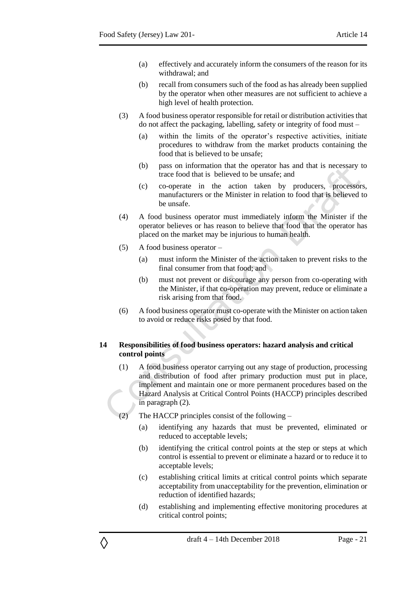- (a) effectively and accurately inform the consumers of the reason for its withdrawal; and
- (b) recall from consumers such of the food as has already been supplied by the operator when other measures are not sufficient to achieve a high level of health protection.
- (3) A food business operator responsible for retail or distribution activities that do not affect the packaging, labelling, safety or integrity of food must –
	- (a) within the limits of the operator's respective activities, initiate procedures to withdraw from the market products containing the food that is believed to be unsafe;
	- (b) pass on information that the operator has and that is necessary to trace food that is believed to be unsafe; and
	- (c) co-operate in the action taken by producers, processors, manufacturers or the Minister in relation to food that is believed to be unsafe.
- (4) A food business operator must immediately inform the Minister if the operator believes or has reason to believe that food that the operator has placed on the market may be injurious to human health.
- (5) A food business operator –

◊

- (a) must inform the Minister of the action taken to prevent risks to the final consumer from that food; and
- (b) must not prevent or discourage any person from co-operating with the Minister, if that co-operation may prevent, reduce or eliminate a risk arising from that food.
- (6) A food business operator must co-operate with the Minister on action taken to avoid or reduce risks posed by that food.

#### <span id="page-20-0"></span>**14 Responsibilities of food business operators: hazard analysis and critical control points**

- (1) A food business operator carrying out any stage of production, processing and distribution of food after primary production must put in place, implement and maintain one or more permanent procedures based on the Hazard Analysis at Critical Control Points (HACCP) principles described in paragraph (2).
- (2) The HACCP principles consist of the following
	- (a) identifying any hazards that must be prevented, eliminated or reduced to acceptable levels;
	- (b) identifying the critical control points at the step or steps at which control is essential to prevent or eliminate a hazard or to reduce it to acceptable levels;
	- (c) establishing critical limits at critical control points which separate acceptability from unacceptability for the prevention, elimination or reduction of identified hazards;
	- (d) establishing and implementing effective monitoring procedures at critical control points;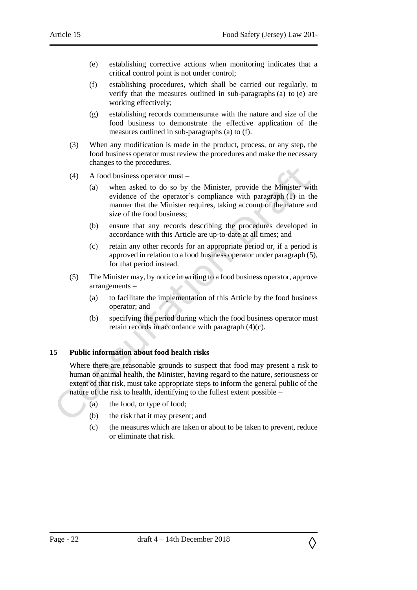- (e) establishing corrective actions when monitoring indicates that a critical control point is not under control;
- (f) establishing procedures, which shall be carried out regularly, to verify that the measures outlined in sub-paragraphs (a) to (e) are working effectively;
- (g) establishing records commensurate with the nature and size of the food business to demonstrate the effective application of the measures outlined in sub-paragraphs (a) to (f).
- (3) When any modification is made in the product, process, or any step, the food business operator must review the procedures and make the necessary changes to the procedures.
- (4) A food business operator must
	- (a) when asked to do so by the Minister, provide the Minister with evidence of the operator's compliance with paragraph (1) in the manner that the Minister requires, taking account of the nature and size of the food business;
	- (b) ensure that any records describing the procedures developed in accordance with this Article are up-to-date at all times; and
	- (c) retain any other records for an appropriate period or, if a period is approved in relation to a food business operator under paragraph (5), for that period instead.
- (5) The Minister may, by notice in writing to a food business operator, approve arrangements –
	- (a) to facilitate the implementation of this Article by the food business operator; and
	- (b) specifying the period during which the food business operator must retain records in accordance with paragraph (4)(c).

## <span id="page-21-0"></span>**15 Public information about food health risks**

Where there are reasonable grounds to suspect that food may present a risk to human or animal health, the Minister, having regard to the nature, seriousness or extent of that risk, must take appropriate steps to inform the general public of the nature of the risk to health, identifying to the fullest extent possible –

- (a) the food, or type of food;
- (b) the risk that it may present; and
- (c) the measures which are taken or about to be taken to prevent, reduce or eliminate that risk.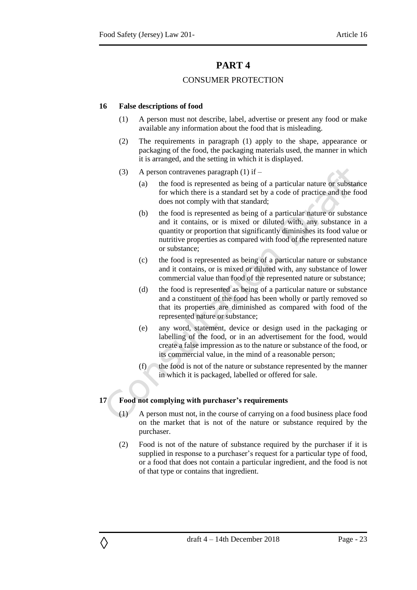## CONSUMER PROTECTION

#### <span id="page-22-2"></span><span id="page-22-1"></span><span id="page-22-0"></span>**16 False descriptions of food**

- (1) A person must not describe, label, advertise or present any food or make available any information about the food that is misleading.
- (2) The requirements in paragraph (1) apply to the shape, appearance or packaging of the food, the packaging materials used, the manner in which it is arranged, and the setting in which it is displayed.
- (3) A person contravenes paragraph (1) if  $-$ 
	- (a) the food is represented as being of a particular nature or substance for which there is a standard set by a code of practice and the food does not comply with that standard;
	- (b) the food is represented as being of a particular nature or substance and it contains, or is mixed or diluted with, any substance in a quantity or proportion that significantly diminishes its food value or nutritive properties as compared with food of the represented nature or substance;
	- (c) the food is represented as being of a particular nature or substance and it contains, or is mixed or diluted with, any substance of lower commercial value than food of the represented nature or substance;
	- (d) the food is represented as being of a particular nature or substance and a constituent of the food has been wholly or partly removed so that its properties are diminished as compared with food of the represented nature or substance;
	- (e) any word, statement, device or design used in the packaging or labelling of the food, or in an advertisement for the food, would create a false impression as to the nature or substance of the food, or its commercial value, in the mind of a reasonable person;
	- $(f)$  the food is not of the nature or substance represented by the manner in which it is packaged, labelled or offered for sale.

## <span id="page-22-3"></span>**17 Food not complying with purchaser's requirements**

- (1) A person must not, in the course of carrying on a food business place food on the market that is not of the nature or substance required by the purchaser.
- (2) Food is not of the nature of substance required by the purchaser if it is supplied in response to a purchaser's request for a particular type of food, or a food that does not contain a particular ingredient, and the food is not of that type or contains that ingredient.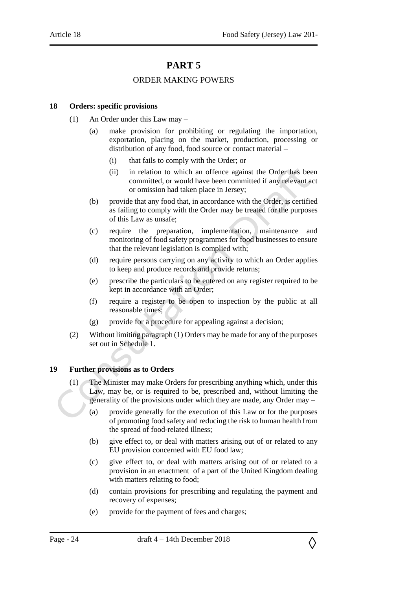## ORDER MAKING POWERS

### <span id="page-23-2"></span><span id="page-23-1"></span><span id="page-23-0"></span>**18 Orders: specific provisions**

- (1) An Order under this Law may
	- (a) make provision for prohibiting or regulating the importation, exportation, placing on the market, production, processing or distribution of any food, food source or contact material –
		- (i) that fails to comply with the Order; or
		- (ii) in relation to which an offence against the Order has been committed, or would have been committed if any relevant act or omission had taken place in Jersey;
	- (b) provide that any food that, in accordance with the Order, is certified as failing to comply with the Order may be treated for the purposes of this Law as unsafe;
	- (c) require the preparation, implementation, maintenance and monitoring of food safety programmes for food businesses to ensure that the relevant legislation is complied with;
	- (d) require persons carrying on any activity to which an Order applies to keep and produce records and provide returns;
	- (e) prescribe the particulars to be entered on any register required to be kept in accordance with an Order;
	- (f) require a register to be open to inspection by the public at all reasonable times;
	- (g) provide for a procedure for appealing against a decision;
- (2) Without limiting paragraph (1) Orders may be made for any of the purposes set out in Schedule 1.

## <span id="page-23-3"></span>**19 Further provisions as to Orders**

- (1) The Minister may make Orders for prescribing anything which, under this Law, may be, or is required to be, prescribed and, without limiting the generality of the provisions under which they are made, any Order may –
	- (a) provide generally for the execution of this Law or for the purposes of promoting food safety and reducing the risk to human health from the spread of food-related illness;
	- (b) give effect to, or deal with matters arising out of or related to any EU provision concerned with EU food law;
	- (c) give effect to, or deal with matters arising out of or related to a provision in an enactment of a part of the United Kingdom dealing with matters relating to food;
	- (d) contain provisions for prescribing and regulating the payment and recovery of expenses;
	- (e) provide for the payment of fees and charges;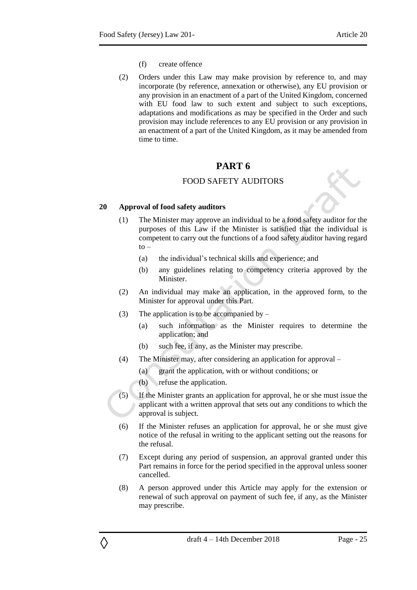- (f) create offence
- (2) Orders under this Law may make provision by reference to, and may incorporate (by reference, annexation or otherwise), any EU provision or any provision in an enactment of a part of the United Kingdom, concerned with EU food law to such extent and subject to such exceptions, adaptations and modifications as may be specified in the Order and such provision may include references to any EU provision or any provision in an enactment of a part of the United Kingdom, as it may be amended from time to time.

## FOOD SAFETY AUDITORS

#### <span id="page-24-2"></span><span id="page-24-1"></span><span id="page-24-0"></span>**20 Approval of food safety auditors**

- (1) The Minister may approve an individual to be a food safety auditor for the purposes of this Law if the Minister is satisfied that the individual is competent to carry out the functions of a food safety auditor having regard  $to -$ 
	- (a) the individual's technical skills and experience; and
	- (b) any guidelines relating to competency criteria approved by the Minister.
- (2) An individual may make an application, in the approved form, to the Minister for approval under this Part.
- (3) The application is to be accompanied by  $-$ 
	- (a) such information as the Minister requires to determine the application; and
	- (b) such fee, if any, as the Minister may prescribe.
- (4) The Minister may, after considering an application for approval
	- (a) grant the application, with or without conditions; or
	- (b) refuse the application.

- (5) If the Minister grants an application for approval, he or she must issue the applicant with a written approval that sets out any conditions to which the approval is subject.
- (6) If the Minister refuses an application for approval, he or she must give notice of the refusal in writing to the applicant setting out the reasons for the refusal.
- (7) Except during any period of suspension, an approval granted under this Part remains in force for the period specified in the approval unless sooner cancelled.
- (8) A person approved under this Article may apply for the extension or renewal of such approval on payment of such fee, if any, as the Minister may prescribe.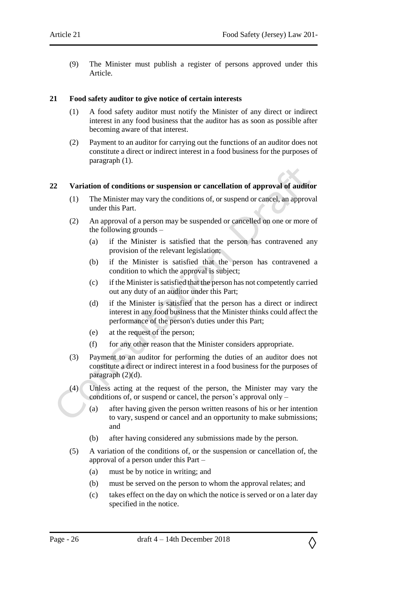(9) The Minister must publish a register of persons approved under this Article.

#### <span id="page-25-0"></span>**21 Food safety auditor to give notice of certain interests**

- (1) A food safety auditor must notify the Minister of any direct or indirect interest in any food business that the auditor has as soon as possible after becoming aware of that interest.
- (2) Payment to an auditor for carrying out the functions of an auditor does not constitute a direct or indirect interest in a food business for the purposes of paragraph (1).

#### <span id="page-25-1"></span>**22 Variation of conditions or suspension or cancellation of approval of auditor**

- (1) The Minister may vary the conditions of, or suspend or cancel, an approval under this Part.
- (2) An approval of a person may be suspended or cancelled on one or more of the following grounds –
	- (a) if the Minister is satisfied that the person has contravened any provision of the relevant legislation;
	- (b) if the Minister is satisfied that the person has contravened a condition to which the approval is subject;
	- (c) if the Minister is satisfied that the person has not competently carried out any duty of an auditor under this Part;
	- (d) if the Minister is satisfied that the person has a direct or indirect interest in any food business that the Minister thinks could affect the performance of the person's duties under this Part;
	- (e) at the request of the person;
	- (f) for any other reason that the Minister considers appropriate.
- (3) Payment to an auditor for performing the duties of an auditor does not constitute a direct or indirect interest in a food business for the purposes of paragraph (2)(d).
- (4) Unless acting at the request of the person, the Minister may vary the conditions of, or suspend or cancel, the person's approval only –
	- (a) after having given the person written reasons of his or her intention to vary, suspend or cancel and an opportunity to make submissions; and
	- (b) after having considered any submissions made by the person.
- (5) A variation of the conditions of, or the suspension or cancellation of, the approval of a person under this Part –
	- (a) must be by notice in writing; and
	- (b) must be served on the person to whom the approval relates; and
	- (c) takes effect on the day on which the notice is served or on a later day specified in the notice.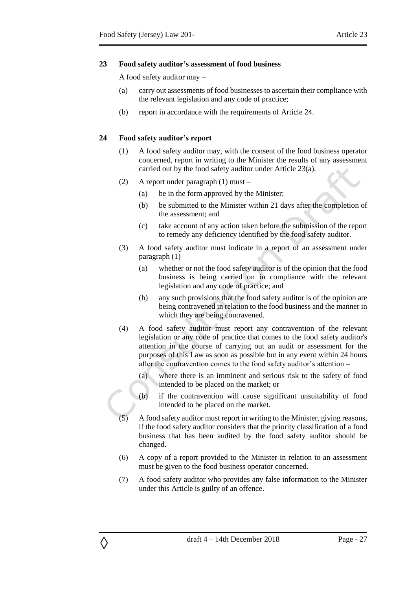#### <span id="page-26-0"></span>**23 Food safety auditor's assessment of food business**

A food safety auditor may –

- (a) carry out assessments of food businesses to ascertain their compliance with the relevant legislation and any code of practice;
- (b) report in accordance with the requirements of Article 24.

#### <span id="page-26-1"></span>**24 Food safety auditor's report**

- (1) A food safety auditor may, with the consent of the food business operator concerned, report in writing to the Minister the results of any assessment carried out by the food safety auditor under Article 23(a).
- (2) A report under paragraph (1) must
	- (a) be in the form approved by the Minister;
	- (b) be submitted to the Minister within 21 days after the completion of the assessment; and
	- (c) take account of any action taken before the submission of the report to remedy any deficiency identified by the food safety auditor.
- (3) A food safety auditor must indicate in a report of an assessment under paragraph  $(1)$  –
	- (a) whether or not the food safety auditor is of the opinion that the food business is being carried on in compliance with the relevant legislation and any code of practice; and
	- (b) any such provisions that the food safety auditor is of the opinion are being contravened in relation to the food business and the manner in which they are being contravened.
- (4) A food safety auditor must report any contravention of the relevant legislation or any code of practice that comes to the food safety auditor's attention in the course of carrying out an audit or assessment for the purposes of this Law as soon as possible but in any event within 24 hours after the contravention comes to the food safety auditor's attention –
	- (a) where there is an imminent and serious risk to the safety of food intended to be placed on the market; or
	- (b) if the contravention will cause significant unsuitability of food intended to be placed on the market.
- (5) A food safety auditor must report in writing to the Minister, giving reasons, if the food safety auditor considers that the priority classification of a food business that has been audited by the food safety auditor should be changed.
- (6) A copy of a report provided to the Minister in relation to an assessment must be given to the food business operator concerned.
- (7) A food safety auditor who provides any false information to the Minister under this Article is guilty of an offence.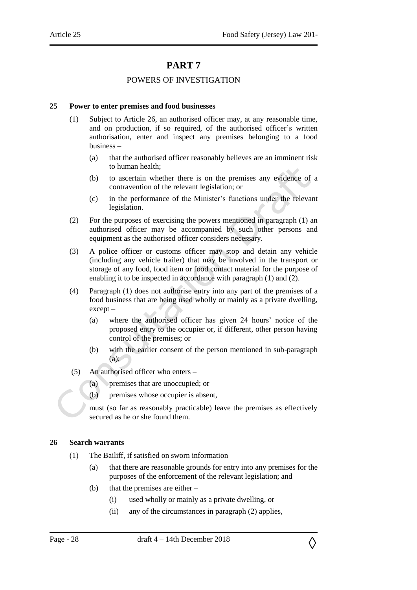## POWERS OF INVESTIGATION

#### <span id="page-27-2"></span><span id="page-27-1"></span><span id="page-27-0"></span>**25 Power to enter premises and food businesses**

- (1) Subject to Article 26, an authorised officer may, at any reasonable time, and on production, if so required, of the authorised officer's written authorisation, enter and inspect any premises belonging to a food business –
	- (a) that the authorised officer reasonably believes are an imminent risk to human health;
	- (b) to ascertain whether there is on the premises any evidence of a contravention of the relevant legislation; or
	- (c) in the performance of the Minister's functions under the relevant legislation.
- (2) For the purposes of exercising the powers mentioned in paragraph (1) an authorised officer may be accompanied by such other persons and equipment as the authorised officer considers necessary.
- (3) A police officer or customs officer may stop and detain any vehicle (including any vehicle trailer) that may be involved in the transport or storage of any food, food item or food contact material for the purpose of enabling it to be inspected in accordance with paragraph (1) and (2).
- (4) Paragraph (1) does not authorise entry into any part of the premises of a food business that are being used wholly or mainly as a private dwelling, except –
	- (a) where the authorised officer has given 24 hours' notice of the proposed entry to the occupier or, if different, other person having control of the premises; or
	- (b) with the earlier consent of the person mentioned in sub-paragraph  $(a)$ :
- (5) An authorised officer who enters
	- (a) premises that are unoccupied; or
	- (b) premises whose occupier is absent,

must (so far as reasonably practicable) leave the premises as effectively secured as he or she found them.

#### <span id="page-27-3"></span>**26 Search warrants**

- (1) The Bailiff, if satisfied on sworn information
	- (a) that there are reasonable grounds for entry into any premises for the purposes of the enforcement of the relevant legislation; and
	- (b) that the premises are either
		- (i) used wholly or mainly as a private dwelling, or
		- (ii) any of the circumstances in paragraph (2) applies,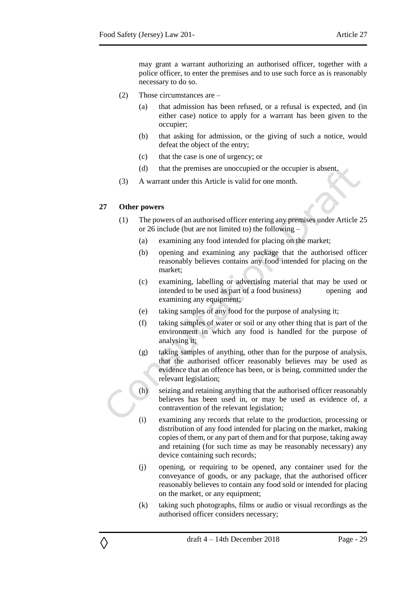may grant a warrant authorizing an authorised officer, together with a police officer, to enter the premises and to use such force as is reasonably necessary to do so.

- (2) Those circumstances are
	- (a) that admission has been refused, or a refusal is expected, and (in either case) notice to apply for a warrant has been given to the occupier;
	- (b) that asking for admission, or the giving of such a notice, would defeat the object of the entry;
	- (c) that the case is one of urgency; or
	- (d) that the premises are unoccupied or the occupier is absent.
- (3) A warrant under this Article is valid for one month.

#### <span id="page-28-0"></span>**27 Other powers**

- (1) The powers of an authorised officer entering any premises under Article 25 or 26 include (but are not limited to) the following –
	- (a) examining any food intended for placing on the market;
	- (b) opening and examining any package that the authorised officer reasonably believes contains any food intended for placing on the market;
	- (c) examining, labelling or advertising material that may be used or intended to be used as part of a food business) opening and examining any equipment;
	- (e) taking samples of any food for the purpose of analysing it;
	- (f) taking samples of water or soil or any other thing that is part of the environment in which any food is handled for the purpose of analysing it;
	- (g) taking samples of anything, other than for the purpose of analysis, that the authorised officer reasonably believes may be used as evidence that an offence has been, or is being, committed under the relevant legislation;
	- (h) seizing and retaining anything that the authorised officer reasonably believes has been used in, or may be used as evidence of, a contravention of the relevant legislation;
		- (i) examining any records that relate to the production, processing or distribution of any food intended for placing on the market, making copies of them, or any part of them and for that purpose, taking away and retaining (for such time as may be reasonably necessary) any device containing such records;
		- (j) opening, or requiring to be opened, any container used for the conveyance of goods, or any package, that the authorised officer reasonably believes to contain any food sold or intended for placing on the market, or any equipment;
		- (k) taking such photographs, films or audio or visual recordings as the authorised officer considers necessary;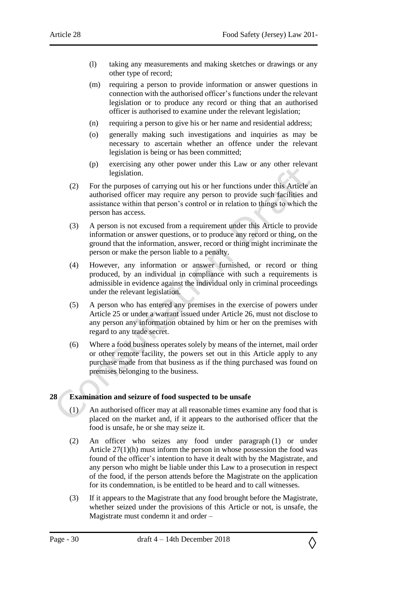- (l) taking any measurements and making sketches or drawings or any other type of record;
- (m) requiring a person to provide information or answer questions in connection with the authorised officer's functions under the relevant legislation or to produce any record or thing that an authorised officer is authorised to examine under the relevant legislation;
- (n) requiring a person to give his or her name and residential address;
- (o) generally making such investigations and inquiries as may be necessary to ascertain whether an offence under the relevant legislation is being or has been committed;
- (p) exercising any other power under this Law or any other relevant legislation.
- (2) For the purposes of carrying out his or her functions under this Article an authorised officer may require any person to provide such facilities and assistance within that person's control or in relation to things to which the person has access.
- (3) A person is not excused from a requirement under this Article to provide information or answer questions, or to produce any record or thing, on the ground that the information, answer, record or thing might incriminate the person or make the person liable to a penalty.
- (4) However, any information or answer furnished, or record or thing produced, by an individual in compliance with such a requirements is admissible in evidence against the individual only in criminal proceedings under the relevant legislation.
- (5) A person who has entered any premises in the exercise of powers under Article 25 or under a warrant issued under Article 26, must not disclose to any person any information obtained by him or her on the premises with regard to any trade secret.
- (6) Where a food business operates solely by means of the internet, mail order or other remote facility, the powers set out in this Article apply to any purchase made from that business as if the thing purchased was found on premises belonging to the business.

## <span id="page-29-0"></span>**28 Examination and seizure of food suspected to be unsafe**

- (1) An authorised officer may at all reasonable times examine any food that is placed on the market and, if it appears to the authorised officer that the food is unsafe, he or she may seize it.
- (2) An officer who seizes any food under paragraph (1) or under Article 27(1)(h) must inform the person in whose possession the food was found of the officer's intention to have it dealt with by the Magistrate, and any person who might be liable under this Law to a prosecution in respect of the food, if the person attends before the Magistrate on the application for its condemnation, is be entitled to be heard and to call witnesses.
- (3) If it appears to the Magistrate that any food brought before the Magistrate, whether seized under the provisions of this Article or not, is unsafe, the Magistrate must condemn it and order –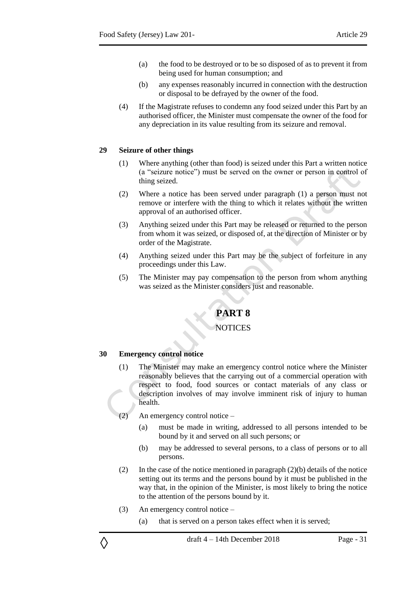- (a) the food to be destroyed or to be so disposed of as to prevent it from being used for human consumption; and
- (b) any expenses reasonably incurred in connection with the destruction or disposal to be defrayed by the owner of the food.
- (4) If the Magistrate refuses to condemn any food seized under this Part by an authorised officer, the Minister must compensate the owner of the food for any depreciation in its value resulting from its seizure and removal.

#### <span id="page-30-0"></span>**29 Seizure of other things**

- (1) Where anything (other than food) is seized under this Part a written notice (a "seizure notice") must be served on the owner or person in control of thing seized.
- (2) Where a notice has been served under paragraph (1) a person must not remove or interfere with the thing to which it relates without the written approval of an authorised officer.
- (3) Anything seized under this Part may be released or returned to the person from whom it was seized, or disposed of, at the direction of Minister or by order of the Magistrate.
- (4) Anything seized under this Part may be the subject of forfeiture in any proceedings under this Law.
- <span id="page-30-1"></span>(5) The Minister may pay compensation to the person from whom anything was seized as the Minister considers just and reasonable.

## **PART 8**

## **NOTICES**

## <span id="page-30-3"></span><span id="page-30-2"></span>**30 Emergency control notice**

- (1) The Minister may make an emergency control notice where the Minister reasonably believes that the carrying out of a commercial operation with respect to food, food sources or contact materials of any class or description involves of may involve imminent risk of injury to human health.
- (2) An emergency control notice
	- (a) must be made in writing, addressed to all persons intended to be bound by it and served on all such persons; or
	- (b) may be addressed to several persons, to a class of persons or to all persons.
- (2) In the case of the notice mentioned in paragraph (2)(b) details of the notice setting out its terms and the persons bound by it must be published in the way that, in the opinion of the Minister, is most likely to bring the notice to the attention of the persons bound by it.
- (3) An emergency control notice –

◊

(a) that is served on a person takes effect when it is served;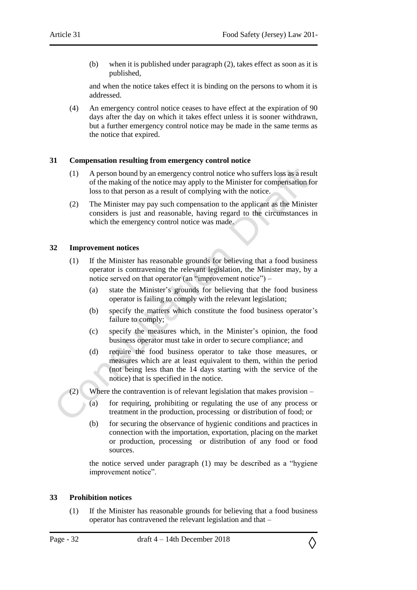(b) when it is published under paragraph (2), takes effect as soon as it is published,

and when the notice takes effect it is binding on the persons to whom it is addressed.

(4) An emergency control notice ceases to have effect at the expiration of 90 days after the day on which it takes effect unless it is sooner withdrawn, but a further emergency control notice may be made in the same terms as the notice that expired.

#### <span id="page-31-0"></span>**31 Compensation resulting from emergency control notice**

- (1) A person bound by an emergency control notice who suffers loss as a result of the making of the notice may apply to the Minister for compensation for loss to that person as a result of complying with the notice.
- (2) The Minister may pay such compensation to the applicant as the Minister considers is just and reasonable, having regard to the circumstances in which the emergency control notice was made.

#### <span id="page-31-1"></span>**32 Improvement notices**

- (1) If the Minister has reasonable grounds for believing that a food business operator is contravening the relevant legislation, the Minister may, by a notice served on that operator (an "improvement notice") –
	- (a) state the Minister's grounds for believing that the food business operator is failing to comply with the relevant legislation;
	- (b) specify the matters which constitute the food business operator's failure to comply;
	- (c) specify the measures which, in the Minister's opinion, the food business operator must take in order to secure compliance; and
	- (d) require the food business operator to take those measures, or measures which are at least equivalent to them, within the period (not being less than the 14 days starting with the service of the notice) that is specified in the notice.

(2) Where the contravention is of relevant legislation that makes provision –

- (a) for requiring, prohibiting or regulating the use of any process or treatment in the production, processing or distribution of food; or
- (b) for securing the observance of hygienic conditions and practices in connection with the importation, exportation, placing on the market or production, processing or distribution of any food or food sources.

the notice served under paragraph (1) may be described as a "hygiene improvement notice".

#### <span id="page-31-2"></span>**33 Prohibition notices**

(1) If the Minister has reasonable grounds for believing that a food business operator has contravened the relevant legislation and that –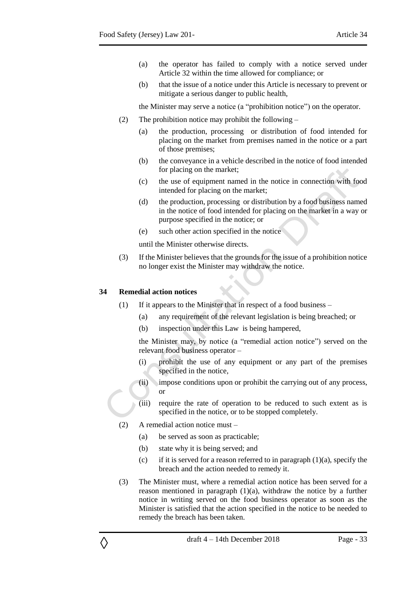- (a) the operator has failed to comply with a notice served under Article 32 within the time allowed for compliance; or
- (b) that the issue of a notice under this Article is necessary to prevent or mitigate a serious danger to public health,

the Minister may serve a notice (a "prohibition notice") on the operator.

- (2) The prohibition notice may prohibit the following
	- (a) the production, processing or distribution of food intended for placing on the market from premises named in the notice or a part of those premises;
	- (b) the conveyance in a vehicle described in the notice of food intended for placing on the market;
	- (c) the use of equipment named in the notice in connection with food intended for placing on the market;
	- (d) the production, processing or distribution by a food business named in the notice of food intended for placing on the market in a way or purpose specified in the notice; or
	- (e) such other action specified in the notice

until the Minister otherwise directs.

(3) If the Minister believes that the grounds for the issue of a prohibition notice no longer exist the Minister may withdraw the notice.

#### <span id="page-32-0"></span>**34 Remedial action notices**

- (1) If it appears to the Minister that in respect of a food business
	- (a) any requirement of the relevant legislation is being breached; or
	- (b) inspection under this Law is being hampered,

the Minister may, by notice (a "remedial action notice") served on the relevant food business operator –

- (i) prohibit the use of any equipment or any part of the premises specified in the notice,
- (ii) impose conditions upon or prohibit the carrying out of any process, or
- (iii) require the rate of operation to be reduced to such extent as is specified in the notice, or to be stopped completely.
- (2) A remedial action notice must
	- (a) be served as soon as practicable;
	- (b) state why it is being served; and
	- (c) if it is served for a reason referred to in paragraph  $(1)(a)$ , specify the breach and the action needed to remedy it.
- (3) The Minister must, where a remedial action notice has been served for a reason mentioned in paragraph (1)(a), withdraw the notice by a further notice in writing served on the food business operator as soon as the Minister is satisfied that the action specified in the notice to be needed to remedy the breach has been taken.

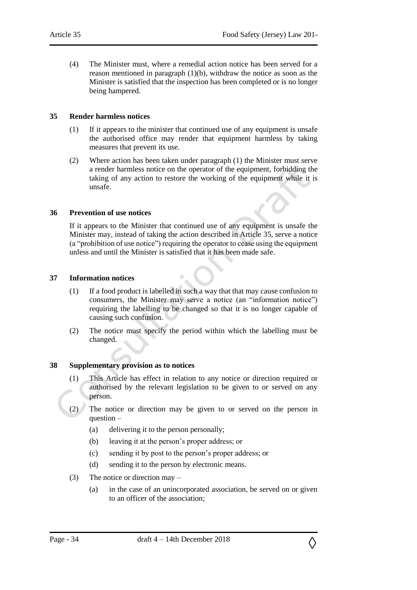(4) The Minister must, where a remedial action notice has been served for a reason mentioned in paragraph (1)(b), withdraw the notice as soon as the Minister is satisfied that the inspection has been completed or is no longer being hampered.

#### <span id="page-33-0"></span>**35 Render harmless notices**

- (1) If it appears to the minister that continued use of any equipment is unsafe the authorised office may render that equipment harmless by taking measures that prevent its use.
- (2) Where action has been taken under paragraph (1) the Minister must serve a render harmless notice on the operator of the equipment, forbidding the taking of any action to restore the working of the equipment while it is unsafe.

#### <span id="page-33-1"></span>**36 Prevention of use notices**

If it appears to the Minister that continued use of any equipment is unsafe the Minister may, instead of taking the action described in Article 35, serve a notice (a "prohibition of use notice") requiring the operator to cease using the equipment unless and until the Minister is satisfied that it has been made safe.

#### <span id="page-33-2"></span>**37 Information notices**

- (1) If a food product is labelled in such a way that that may cause confusion to consumers, the Minister may serve a notice (an "information notice") requiring the labelling to be changed so that it is no longer capable of causing such confusion.
- (2) The notice must specify the period within which the labelling must be changed.

#### <span id="page-33-3"></span>**38 Supplementary provision as to notices**

- (1) This Article has effect in relation to any notice or direction required or authorised by the relevant legislation to be given to or served on any person.
- (2) The notice or direction may be given to or served on the person in question –
	- (a) delivering it to the person personally;
	- (b) leaving it at the person's proper address; or
	- (c) sending it by post to the person's proper address; or
	- (d) sending it to the person by electronic means.
- (3) The notice or direction may
	- (a) in the case of an unincorporated association, be served on or given to an officer of the association;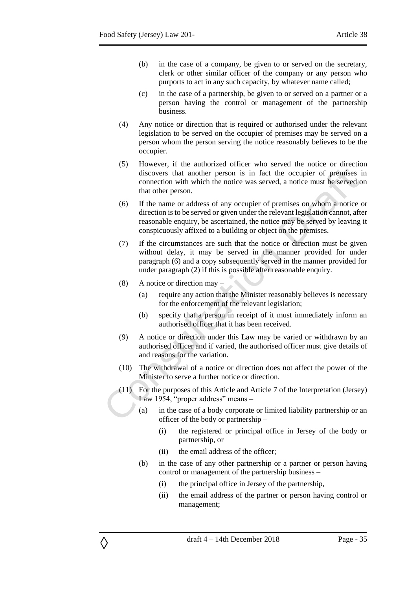- (b) in the case of a company, be given to or served on the secretary, clerk or other similar officer of the company or any person who purports to act in any such capacity, by whatever name called;
- (c) in the case of a partnership, be given to or served on a partner or a person having the control or management of the partnership business.
- (4) Any notice or direction that is required or authorised under the relevant legislation to be served on the occupier of premises may be served on a person whom the person serving the notice reasonably believes to be the occupier.
- (5) However, if the authorized officer who served the notice or direction discovers that another person is in fact the occupier of premises in connection with which the notice was served, a notice must be served on that other person.
- (6) If the name or address of any occupier of premises on whom a notice or direction is to be served or given under the relevant legislation cannot, after reasonable enquiry, be ascertained, the notice may be served by leaving it conspicuously affixed to a building or object on the premises.
- (7) If the circumstances are such that the notice or direction must be given without delay, it may be served in the manner provided for under paragraph (6) and a copy subsequently served in the manner provided for under paragraph (2) if this is possible after reasonable enquiry.
- (8) A notice or direction may –

- (a) require any action that the Minister reasonably believes is necessary for the enforcement of the relevant legislation;
- (b) specify that a person in receipt of it must immediately inform an authorised officer that it has been received.
- (9) A notice or direction under this Law may be varied or withdrawn by an authorised officer and if varied, the authorised officer must give details of and reasons for the variation.
- (10) The withdrawal of a notice or direction does not affect the power of the Minister to serve a further notice or direction.
- (11) For the purposes of this Article and Article 7 of the Interpretation (Jersey) Law 1954, "proper address" means –
	- (a) in the case of a body corporate or limited liability partnership or an officer of the body or partnership –
		- (i) the registered or principal office in Jersey of the body or partnership, or
		- (ii) the email address of the officer;
	- (b) in the case of any other partnership or a partner or person having control or management of the partnership business –
		- (i) the principal office in Jersey of the partnership,
		- (ii) the email address of the partner or person having control or management;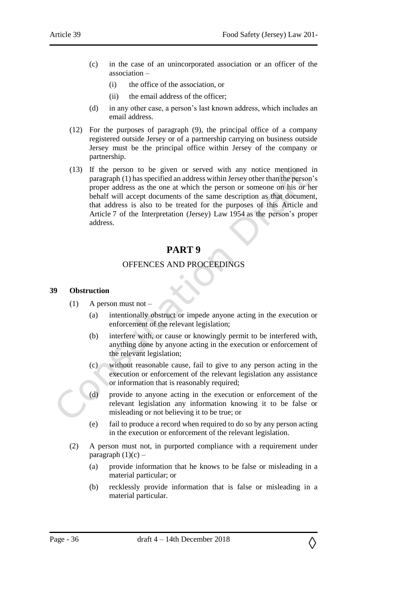- (c) in the case of an unincorporated association or an officer of the association –
	- (i) the office of the association, or
	- (ii) the email address of the officer;
- (d) in any other case, a person's last known address, which includes an email address.
- (12) For the purposes of paragraph (9), the principal office of a company registered outside Jersey or of a partnership carrying on business outside Jersey must be the principal office within Jersey of the company or partnership.
- (13) If the person to be given or served with any notice mentioned in paragraph (1) has specified an address within Jersey other than the person's proper address as the one at which the person or someone on his or her behalf will accept documents of the same description as that document, that address is also to be treated for the purposes of this Article and Article 7 of the Interpretation (Jersey) Law 1954 as the person's proper address.

#### OFFENCES AND PROCEEDINGS

#### <span id="page-35-2"></span><span id="page-35-1"></span><span id="page-35-0"></span>**39 Obstruction**

- $(1)$  A person must not
	- (a) intentionally obstruct or impede anyone acting in the execution or enforcement of the relevant legislation;
	- (b) interfere with, or cause or knowingly permit to be interfered with, anything done by anyone acting in the execution or enforcement of the relevant legislation;
	- (c) without reasonable cause, fail to give to any person acting in the execution or enforcement of the relevant legislation any assistance or information that is reasonably required;
	- (d) provide to anyone acting in the execution or enforcement of the relevant legislation any information knowing it to be false or misleading or not believing it to be true; or
	- (e) fail to produce a record when required to do so by any person acting in the execution or enforcement of the relevant legislation.
- (2) A person must not, in purported compliance with a requirement under paragraph  $(1)(c)$  –
	- (a) provide information that he knows to be false or misleading in a material particular; or
	- (b) recklessly provide information that is false or misleading in a material particular.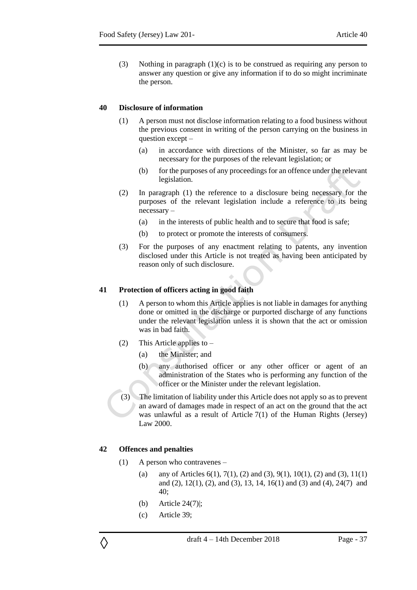(3) Nothing in paragraph (1)(c) is to be construed as requiring any person to answer any question or give any information if to do so might incriminate the person.

#### <span id="page-36-0"></span>**40 Disclosure of information**

- (1) A person must not disclose information relating to a food business without the previous consent in writing of the person carrying on the business in question except –
	- (a) in accordance with directions of the Minister, so far as may be necessary for the purposes of the relevant legislation; or
	- (b) for the purposes of any proceedings for an offence under the relevant legislation.
- (2) In paragraph (1) the reference to a disclosure being necessary for the purposes of the relevant legislation include a reference to its being necessary –
	- (a) in the interests of public health and to secure that food is safe;
	- (b) to protect or promote the interests of consumers.
- (3) For the purposes of any enactment relating to patents, any invention disclosed under this Article is not treated as having been anticipated by reason only of such disclosure.

#### <span id="page-36-1"></span>**41 Protection of officers acting in good faith**

- (1) A person to whom this Article applies is not liable in damages for anything done or omitted in the discharge or purported discharge of any functions under the relevant legislation unless it is shown that the act or omission was in bad faith.
- (2) This Article applies to
	- (a) the Minister; and
	- (b) any authorised officer or any other officer or agent of an administration of the States who is performing any function of the officer or the Minister under the relevant legislation.
- (3) The limitation of liability under this Article does not apply so as to prevent an award of damages made in respect of an act on the ground that the act was unlawful as a result of Article 7(1) of the Human Rights (Jersey) Law 2000.

#### <span id="page-36-2"></span>**42 Offences and penalties**

- (1) A person who contravenes
	- (a) any of Articles  $6(1)$ ,  $7(1)$ ,  $(2)$  and  $(3)$ ,  $9(1)$ ,  $10(1)$ ,  $(2)$  and  $(3)$ ,  $11(1)$ and (2), 12(1), (2), and (3), 13, 14, 16(1) and (3) and (4), 24(7) and 40;
	- (b) Article 24(7)|;
	- (c) Article 39;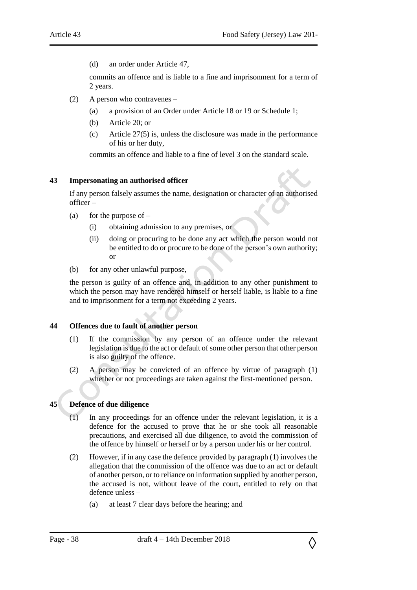(d) an order under Article 47,

commits an offence and is liable to a fine and imprisonment for a term of 2 years.

- (2) A person who contravenes
	- (a) a provision of an Order under Article 18 or 19 or Schedule 1;
	- (b) Article 20; or
	- (c) Article 27(5) is, unless the disclosure was made in the performance of his or her duty,

commits an offence and liable to a fine of level 3 on the standard scale.

#### <span id="page-37-0"></span>**43 Impersonating an authorised officer**

If any person falsely assumes the name, designation or character of an authorised officer –

- (a) for the purpose of  $-$ 
	- (i) obtaining admission to any premises, or
	- (ii) doing or procuring to be done any act which the person would not be entitled to do or procure to be done of the person's own authority; or
- (b) for any other unlawful purpose,

the person is guilty of an offence and, in addition to any other punishment to which the person may have rendered himself or herself liable, is liable to a fine and to imprisonment for a term not exceeding 2 years.

#### <span id="page-37-1"></span>**44 Offences due to fault of another person**

- (1) If the commission by any person of an offence under the relevant legislation is due to the act or default of some other person that other person is also guilty of the offence.
- (2) A person may be convicted of an offence by virtue of paragraph (1) whether or not proceedings are taken against the first-mentioned person.

## <span id="page-37-2"></span>**45 Defence of due diligence**

- (1) In any proceedings for an offence under the relevant legislation, it is a defence for the accused to prove that he or she took all reasonable precautions, and exercised all due diligence, to avoid the commission of the offence by himself or herself or by a person under his or her control.
- (2) However, if in any case the defence provided by paragraph (1) involves the allegation that the commission of the offence was due to an act or default of another person, or to reliance on information supplied by another person, the accused is not, without leave of the court, entitled to rely on that defence unless –
	- (a) at least 7 clear days before the hearing; and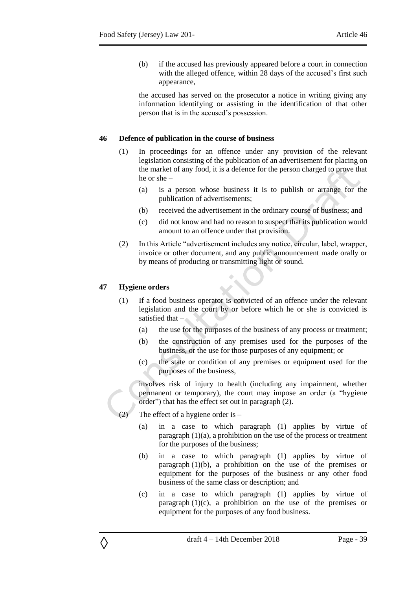(b) if the accused has previously appeared before a court in connection with the alleged offence, within 28 days of the accused's first such appearance,

the accused has served on the prosecutor a notice in writing giving any information identifying or assisting in the identification of that other person that is in the accused's possession.

#### <span id="page-38-0"></span>**46 Defence of publication in the course of business**

- (1) In proceedings for an offence under any provision of the relevant legislation consisting of the publication of an advertisement for placing on the market of any food, it is a defence for the person charged to prove that he or she –
	- (a) is a person whose business it is to publish or arrange for the publication of advertisements;
	- (b) received the advertisement in the ordinary course of business; and
	- (c) did not know and had no reason to suspect that its publication would amount to an offence under that provision.
- (2) In this Article "advertisement includes any notice, circular, label, wrapper, invoice or other document, and any public announcement made orally or by means of producing or transmitting light or sound.

#### <span id="page-38-1"></span>**47 Hygiene orders**

◊

- (1) If a food business operator is convicted of an offence under the relevant legislation and the court by or before which he or she is convicted is satisfied that –
	- (a) the use for the purposes of the business of any process or treatment;
	- (b) the construction of any premises used for the purposes of the business, or the use for those purposes of any equipment; or
	- (c) the state or condition of any premises or equipment used for the purposes of the business,

involves risk of injury to health (including any impairment, whether permanent or temporary), the court may impose an order (a "hygiene order") that has the effect set out in paragraph (2).

The effect of a hygiene order is  $-$ 

- (a) in a case to which paragraph (1) applies by virtue of paragraph (1)(a), a prohibition on the use of the process or treatment for the purposes of the business;
- (b) in a case to which paragraph (1) applies by virtue of paragraph (1)(b), a prohibition on the use of the premises or equipment for the purposes of the business or any other food business of the same class or description; and
- (c) in a case to which paragraph (1) applies by virtue of paragraph  $(1)(c)$ , a prohibition on the use of the premises or equipment for the purposes of any food business.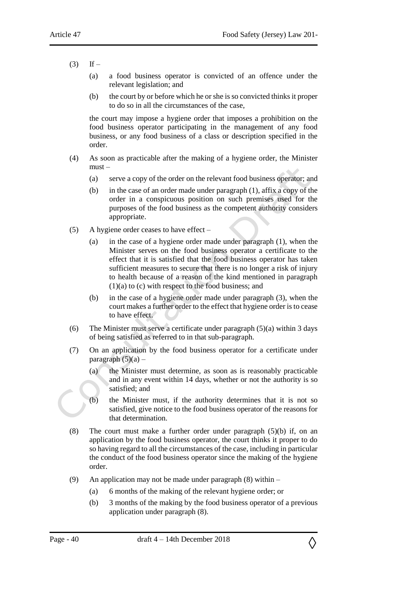- $(3)$  If
	- (a) a food business operator is convicted of an offence under the relevant legislation; and
	- (b) the court by or before which he or she is so convicted thinks it proper to do so in all the circumstances of the case,

the court may impose a hygiene order that imposes a prohibition on the food business operator participating in the management of any food business, or any food business of a class or description specified in the order.

- (4) As soon as practicable after the making of a hygiene order, the Minister must –
	- (a) serve a copy of the order on the relevant food business operator; and
	- (b) in the case of an order made under paragraph (1), affix a copy of the order in a conspicuous position on such premises used for the purposes of the food business as the competent authority considers appropriate.
- (5) A hygiene order ceases to have effect
	- (a) in the case of a hygiene order made under paragraph (1), when the Minister serves on the food business operator a certificate to the effect that it is satisfied that the food business operator has taken sufficient measures to secure that there is no longer a risk of injury to health because of a reason of the kind mentioned in paragraph (1)(a) to (c) with respect to the food business; and
	- (b) in the case of a hygiene order made under paragraph (3), when the court makes a further order to the effect that hygiene order is to cease to have effect.
- (6) The Minister must serve a certificate under paragraph (5)(a) within 3 days of being satisfied as referred to in that sub-paragraph.
- (7) On an application by the food business operator for a certificate under paragraph  $(5)(a)$  –
	- (a) the Minister must determine, as soon as is reasonably practicable and in any event within 14 days, whether or not the authority is so satisfied; and
	- (b) the Minister must, if the authority determines that it is not so satisfied, give notice to the food business operator of the reasons for that determination.
- (8) The court must make a further order under paragraph (5)(b) if, on an application by the food business operator, the court thinks it proper to do so having regard to all the circumstances of the case, including in particular the conduct of the food business operator since the making of the hygiene order.
- (9) An application may not be made under paragraph (8) within
	- (a) 6 months of the making of the relevant hygiene order; or
	- (b) 3 months of the making by the food business operator of a previous application under paragraph (8).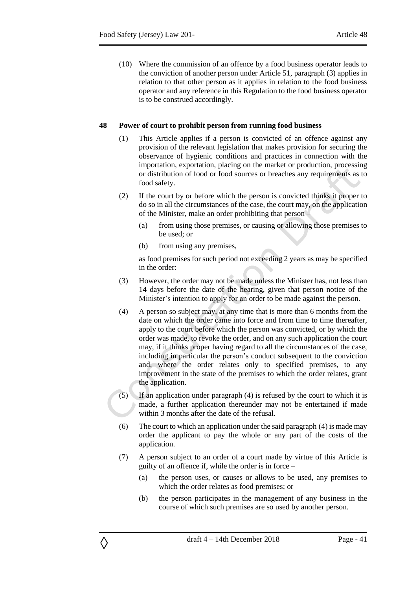(10) Where the commission of an offence by a food business operator leads to the conviction of another person under Article 51, paragraph (3) applies in relation to that other person as it applies in relation to the food business operator and any reference in this Regulation to the food business operator is to be construed accordingly.

#### <span id="page-40-0"></span>**48 Power of court to prohibit person from running food business**

- (1) This Article applies if a person is convicted of an offence against any provision of the relevant legislation that makes provision for securing the observance of hygienic conditions and practices in connection with the importation, exportation, placing on the market or production, processing or distribution of food or food sources or breaches any requirements as to food safety.
- (2) If the court by or before which the person is convicted thinks it proper to do so in all the circumstances of the case, the court may, on the application of the Minister, make an order prohibiting that person –
	- (a) from using those premises, or causing or allowing those premises to be used; or
	- (b) from using any premises,

as food premises for such period not exceeding 2 years as may be specified in the order:

- (3) However, the order may not be made unless the Minister has, not less than 14 days before the date of the hearing, given that person notice of the Minister's intention to apply for an order to be made against the person.
- (4) A person so subject may, at any time that is more than 6 months from the date on which the order came into force and from time to time thereafter, apply to the court before which the person was convicted, or by which the order was made, to revoke the order, and on any such application the court may, if it thinks proper having regard to all the circumstances of the case, including in particular the person's conduct subsequent to the conviction and, where the order relates only to specified premises, to any improvement in the state of the premises to which the order relates, grant the application.
- $(5)$  If an application under paragraph  $(4)$  is refused by the court to which it is made, a further application thereunder may not be entertained if made within 3 months after the date of the refusal.
- (6) The court to which an application under the said paragraph (4) is made may order the applicant to pay the whole or any part of the costs of the application.
- (7) A person subject to an order of a court made by virtue of this Article is guilty of an offence if, while the order is in force –
	- (a) the person uses, or causes or allows to be used, any premises to which the order relates as food premises; or
	- (b) the person participates in the management of any business in the course of which such premises are so used by another person.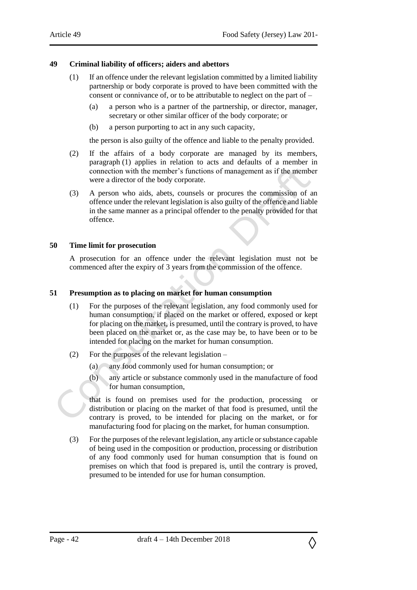### <span id="page-41-0"></span>**49 Criminal liability of officers; aiders and abettors**

- (1) If an offence under the relevant legislation committed by a limited liability partnership or body corporate is proved to have been committed with the consent or connivance of, or to be attributable to neglect on the part of –
	- (a) a person who is a partner of the partnership, or director, manager, secretary or other similar officer of the body corporate; or
	- (b) a person purporting to act in any such capacity,

the person is also guilty of the offence and liable to the penalty provided.

- (2) If the affairs of a body corporate are managed by its members, paragraph (1) applies in relation to acts and defaults of a member in connection with the member's functions of management as if the member were a director of the body corporate.
- (3) A person who aids, abets, counsels or procures the commission of an offence under the relevant legislation is also guilty of the offence and liable in the same manner as a principal offender to the penalty provided for that offence.

#### <span id="page-41-1"></span>**50 Time limit for prosecution**

A prosecution for an offence under the relevant legislation must not be commenced after the expiry of 3 years from the commission of the offence.

#### <span id="page-41-2"></span>**51 Presumption as to placing on market for human consumption**

- (1) For the purposes of the relevant legislation, any food commonly used for human consumption, if placed on the market or offered, exposed or kept for placing on the market, is presumed, until the contrary is proved, to have been placed on the market or, as the case may be, to have been or to be intended for placing on the market for human consumption.
- (2) For the purposes of the relevant legislation
	- (a) any food commonly used for human consumption; or
	- (b) any article or substance commonly used in the manufacture of food for human consumption,

that is found on premises used for the production, processing or distribution or placing on the market of that food is presumed, until the contrary is proved, to be intended for placing on the market, or for manufacturing food for placing on the market, for human consumption.

(3) For the purposes of the relevant legislation, any article or substance capable of being used in the composition or production, processing or distribution of any food commonly used for human consumption that is found on premises on which that food is prepared is, until the contrary is proved, presumed to be intended for use for human consumption.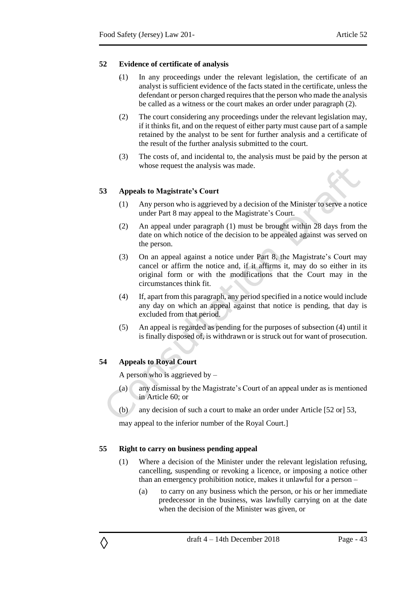#### <span id="page-42-0"></span>**52 Evidence of certificate of analysis**

- (1) In any proceedings under the relevant legislation, the certificate of an analyst is sufficient evidence of the facts stated in the certificate, unless the defendant or person charged requires that the person who made the analysis be called as a witness or the court makes an order under paragraph (2).
- (2) The court considering any proceedings under the relevant legislation may, if it thinks fit, and on the request of either party must cause part of a sample retained by the analyst to be sent for further analysis and a certificate of the result of the further analysis submitted to the court.
- (3) The costs of, and incidental to, the analysis must be paid by the person at whose request the analysis was made.

## <span id="page-42-1"></span>**53 Appeals to Magistrate's Court**

- (1) Any person who is aggrieved by a decision of the Minister to serve a notice under Part 8 may appeal to the Magistrate's Court.
- (2) An appeal under paragraph (1) must be brought within 28 days from the date on which notice of the decision to be appealed against was served on the person.
- (3) On an appeal against a notice under Part 8, the Magistrate's Court may cancel or affirm the notice and, if it affirms it, may do so either in its original form or with the modifications that the Court may in the circumstances think fit.
- (4) If, apart from this paragraph, any period specified in a notice would include any day on which an appeal against that notice is pending, that day is excluded from that period.
- (5) An appeal is regarded as pending for the purposes of subsection (4) until it is finally disposed of, is withdrawn or is struck out for want of prosecution.

## <span id="page-42-2"></span>**54 Appeals to Royal Court**

◊

A person who is aggrieved by  $-$ 

- (a) any dismissal by the Magistrate's Court of an appeal under as is mentioned in Article 60; or
- (b) any decision of such a court to make an order under Article [52 or] 53,

may appeal to the inferior number of the Royal Court.]

## <span id="page-42-3"></span>**55 Right to carry on business pending appeal**

- (1) Where a decision of the Minister under the relevant legislation refusing, cancelling, suspending or revoking a licence, or imposing a notice other than an emergency prohibition notice, makes it unlawful for a person –
	- (a) to carry on any business which the person, or his or her immediate predecessor in the business, was lawfully carrying on at the date when the decision of the Minister was given, or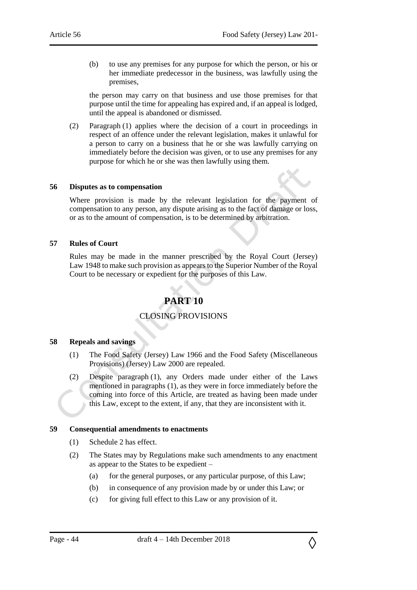(b) to use any premises for any purpose for which the person, or his or her immediate predecessor in the business, was lawfully using the premises,

the person may carry on that business and use those premises for that purpose until the time for appealing has expired and, if an appeal is lodged, until the appeal is abandoned or dismissed.

(2) Paragraph (1) applies where the decision of a court in proceedings in respect of an offence under the relevant legislation, makes it unlawful for a person to carry on a business that he or she was lawfully carrying on immediately before the decision was given, or to use any premises for any purpose for which he or she was then lawfully using them.

#### <span id="page-43-0"></span>**56 Disputes as to compensation**

Where provision is made by the relevant legislation for the payment of compensation to any person, any dispute arising as to the fact of damage or loss, or as to the amount of compensation, is to be determined by arbitration.

#### <span id="page-43-1"></span>**57 Rules of Court**

<span id="page-43-2"></span>Rules may be made in the manner prescribed by the Royal Court (Jersey) Law 1948 to make such provision as appears to the Superior Number of the Royal Court to be necessary or expedient for the purposes of this Law.

## **PART 10**

## CLOSING PROVISIONS

### <span id="page-43-4"></span><span id="page-43-3"></span>**58 Repeals and savings**

- (1) The Food Safety (Jersey) Law 1966 and the Food Safety (Miscellaneous Provisions) (Jersey) Law 2000 are repealed.
- (2) Despite paragraph (1), any Orders made under either of the Laws mentioned in paragraphs (1), as they were in force immediately before the coming into force of this Article, are treated as having been made under this Law, except to the extent, if any, that they are inconsistent with it.

#### <span id="page-43-5"></span>**59 Consequential amendments to enactments**

- (1) Schedule 2 has effect.
- (2) The States may by Regulations make such amendments to any enactment as appear to the States to be expedient –
	- (a) for the general purposes, or any particular purpose, of this Law;
	- (b) in consequence of any provision made by or under this Law; or
	- (c) for giving full effect to this Law or any provision of it.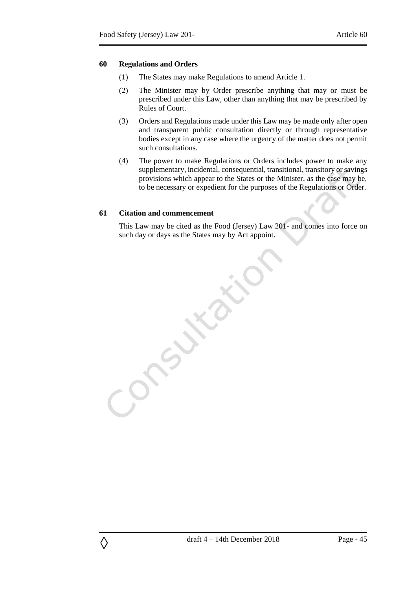#### <span id="page-44-0"></span>**60 Regulations and Orders**

- (1) The States may make Regulations to amend Article 1.
- (2) The Minister may by Order prescribe anything that may or must be prescribed under this Law, other than anything that may be prescribed by Rules of Court.
- (3) Orders and Regulations made under this Law may be made only after open and transparent public consultation directly or through representative bodies except in any case where the urgency of the matter does not permit such consultations.
- (4) The power to make Regulations or Orders includes power to make any supplementary, incidental, consequential, transitional, transitory or savings provisions which appear to the States or the Minister, as the case may be, to be necessary or expedient for the purposes of the Regulations or Order.

#### <span id="page-44-1"></span>**61 Citation and commencement**

◊

This Law may be cited as the Food (Jersey) Law 201- and comes into force on such day or days as the States may by Act appoint.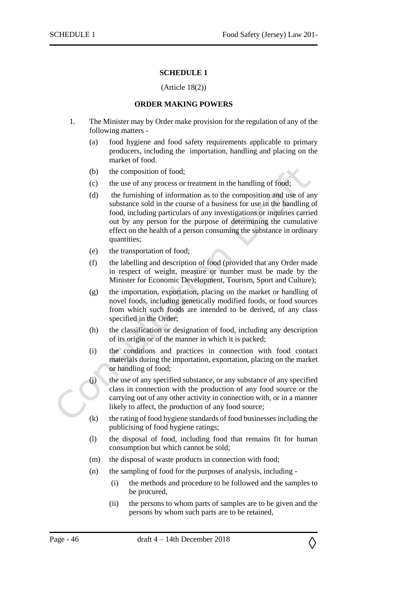#### **SCHEDULE 1**

#### (Article 18(2))

#### **ORDER MAKING POWERS**

- <span id="page-45-1"></span><span id="page-45-0"></span>1. The Minister may by Order make provision for the regulation of any of the following matters -
	- (a) food hygiene and food safety requirements applicable to primary producers, including the importation, handling and placing on the market of food.
	- (b) the composition of food;
	- (c) the use of any process or treatment in the handling of food;
	- (d) the furnishing of information as to the composition and use of any substance sold in the course of a business for use in the handling of food, including particulars of any investigations or inquiries carried out by any person for the purpose of determining the cumulative effect on the health of a person consuming the substance in ordinary quantities;
	- (e) the transportation of food;
	- (f) the labelling and description of food (provided that any Order made in respect of weight, measure or number must be made by the Minister for Economic Development, Tourism, Sport and Culture);
	- (g) the importation, exportation, placing on the market or handling of novel foods, including genetically modified foods, or food sources from which such foods are intended to be derived, of any class specified in the Order;
	- (h) the classification or designation of food, including any description of its origin or of the manner in which it is packed;
	- (i) the conditions and practices in connection with food contact materials during the importation, exportation, placing on the market or handling of food;
	- (j) the use of any specified substance, or any substance of any specified class in connection with the production of any food source or the carrying out of any other activity in connection with, or in a manner likely to affect, the production of any food source;
	- (k) the rating of food hygiene standards of food businesses including the publicising of food hygiene ratings;
	- (l) the disposal of food, including food that remains fit for human consumption but which cannot be sold;
	- (m) the disposal of waste products in connection with food;
	- (n) the sampling of food for the purposes of analysis, including
		- (i) the methods and procedure to be followed and the samples to be procured,
		- (ii) the persons to whom parts of samples are to be given and the persons by whom such parts are to be retained,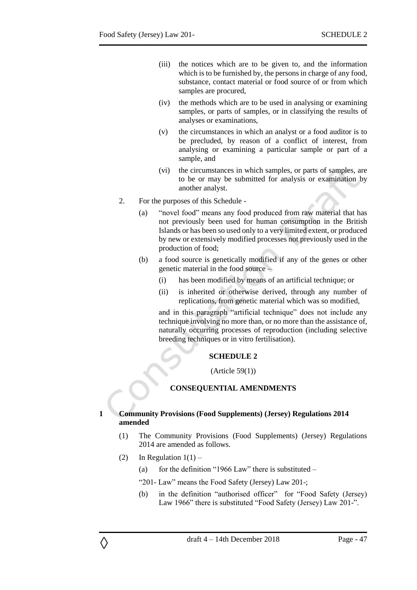- (iii) the notices which are to be given to, and the information which is to be furnished by, the persons in charge of any food, substance, contact material or food source of or from which samples are procured,
- (iv) the methods which are to be used in analysing or examining samples, or parts of samples, or in classifying the results of analyses or examinations,
- (v) the circumstances in which an analyst or a food auditor is to be precluded, by reason of a conflict of interest, from analysing or examining a particular sample or part of a sample, and
- (vi) the circumstances in which samples, or parts of samples, are to be or may be submitted for analysis or examination by another analyst.
- 2. For the purposes of this Schedule
	- (a) "novel food" means any food produced from raw material that has not previously been used for human consumption in the British Islands or has been so used only to a very limited extent, or produced by new or extensively modified processes not previously used in the production of food;
	- (b) a food source is genetically modified if any of the genes or other genetic material in the food source –
		- (i) has been modified by means of an artificial technique; or
		- (ii) is inherited or otherwise derived, through any number of replications, from genetic material which was so modified,

and in this paragraph "artificial technique" does not include any technique involving no more than, or no more than the assistance of, naturally occurring processes of reproduction (including selective breeding techniques or in vitro fertilisation).

## **SCHEDULE 2**

(Article 59(1))

## **CONSEQUENTIAL AMENDMENTS**

#### <span id="page-46-2"></span><span id="page-46-1"></span><span id="page-46-0"></span>**1 Community Provisions (Food Supplements) (Jersey) Regulations 2014 amended**

- (1) The Community Provisions (Food Supplements) (Jersey) Regulations 2014 are amended as follows.
- (2) In Regulation  $1(1)$  –

- (a) for the definition "1966 Law" there is substituted  $-$
- "201- Law" means the Food Safety (Jersey) Law 201-;
- (b) in the definition "authorised officer" for "Food Safety (Jersey) Law 1966" there is substituted "Food Safety (Jersey) Law 201-".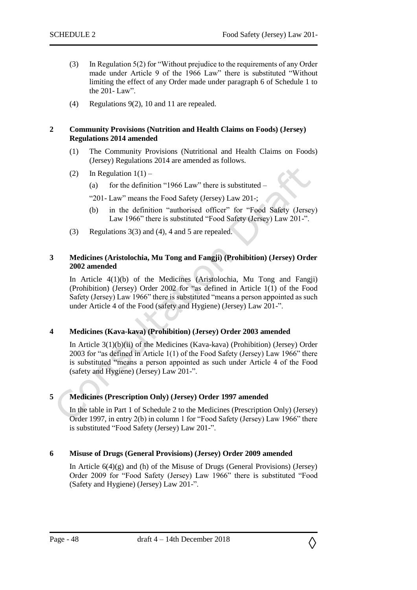- (3) In Regulation 5(2) for "Without prejudice to the requirements of any Order made under Article 9 of the 1966 Law" there is substituted "Without limiting the effect of any Order made under paragraph 6 of Schedule 1 to the 201- Law".
- (4) Regulations 9(2), 10 and 11 are repealed.

#### <span id="page-47-0"></span>**2 Community Provisions (Nutrition and Health Claims on Foods) (Jersey) Regulations 2014 amended**

- (1) The Community Provisions (Nutritional and Health Claims on Foods) (Jersey) Regulations 2014 are amended as follows.
- (2) In Regulation  $1(1)$ 
	- (a) for the definition "1966 Law" there is substituted –

"201- Law" means the Food Safety (Jersey) Law 201-;

- (b) in the definition "authorised officer" for "Food Safety (Jersey) Law 1966" there is substituted "Food Safety (Jersey) Law 201-".
- (3) Regulations 3(3) and (4), 4 and 5 are repealed.

## <span id="page-47-1"></span>**3 Medicines (Aristolochia, Mu Tong and Fangji) (Prohibition) (Jersey) Order 2002 amended**

In Article 4(1)(b) of the Medicines (Aristolochia, Mu Tong and Fangji) (Prohibition) (Jersey) Order 2002 for "as defined in Article 1(1) of the Food Safety (Jersey) Law 1966" there is substituted "means a person appointed as such under Article 4 of the Food (safety and Hygiene) (Jersey) Law 201-".

## <span id="page-47-2"></span>**4 Medicines (Kava-kava) (Prohibition) (Jersey) Order 2003 amended**

In Article 3(1)(b)(ii) of the Medicines (Kava-kava) (Prohibition) (Jersey) Order 2003 for "as defined in Article 1(1) of the Food Safety (Jersey) Law 1966" there is substituted "means a person appointed as such under Article 4 of the Food (safety and Hygiene) (Jersey) Law 201-".

## <span id="page-47-3"></span>**5 Medicines (Prescription Only) (Jersey) Order 1997 amended**

In the table in Part 1 of Schedule 2 to the Medicines (Prescription Only) (Jersey) Order 1997, in entry 2(b) in column 1 for "Food Safety (Jersey) Law 1966" there is substituted "Food Safety (Jersey) Law 201-".

## <span id="page-47-4"></span>**6 Misuse of Drugs (General Provisions) (Jersey) Order 2009 amended**

In Article  $6(4)(g)$  and (h) of the Misuse of Drugs (General Provisions) (Jersey) Order 2009 for "Food Safety (Jersey) Law 1966" there is substituted "Food (Safety and Hygiene) (Jersey) Law 201-".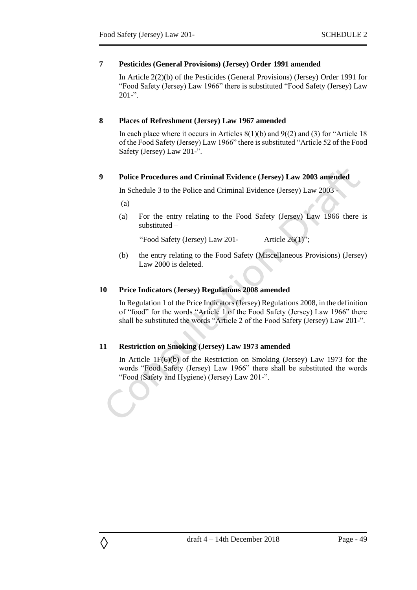### <span id="page-48-0"></span>**7 Pesticides (General Provisions) (Jersey) Order 1991 amended**

In Article 2(2)(b) of the Pesticides (General Provisions) (Jersey) Order 1991 for "Food Safety (Jersey) Law 1966" there is substituted "Food Safety (Jersey) Law  $201 -$ ".

### <span id="page-48-1"></span>**8 Places of Refreshment (Jersey) Law 1967 amended**

In each place where it occurs in Articles  $8(1)(b)$  and  $9(2)$  and (3) for "Article 18 of the Food Safety (Jersey) Law 1966" there is substituted "Article 52 of the Food Safety (Jersey) Law 201-".

#### <span id="page-48-2"></span>**9 Police Procedures and Criminal Evidence (Jersey) Law 2003 amended**

In Schedule 3 to the Police and Criminal Evidence (Jersey) Law 2003 -

(a)

◊

(a) For the entry relating to the Food Safety (Jersey) Law 1966 there is substituted –

"Food Safety (Jersey) Law 201- Article 26(1)";

(b) the entry relating to the Food Safety (Miscellaneous Provisions) (Jersey) Law 2000 is deleted.

#### <span id="page-48-3"></span>**10 Price Indicators (Jersey) Regulations 2008 amended**

In Regulation 1 of the Price Indicators (Jersey) Regulations 2008, in the definition of "food" for the words "Article 1 of the Food Safety (Jersey) Law 1966" there shall be substituted the words "Article 2 of the Food Safety (Jersey) Law 201-".

## <span id="page-48-4"></span>**11 Restriction on Smoking (Jersey) Law 1973 amended**

In Article 1F(6)(b) of the Restriction on Smoking (Jersey) Law 1973 for the words "Food Safety (Jersey) Law 1966" there shall be substituted the words "Food (Safety and Hygiene) (Jersey) Law 201-".